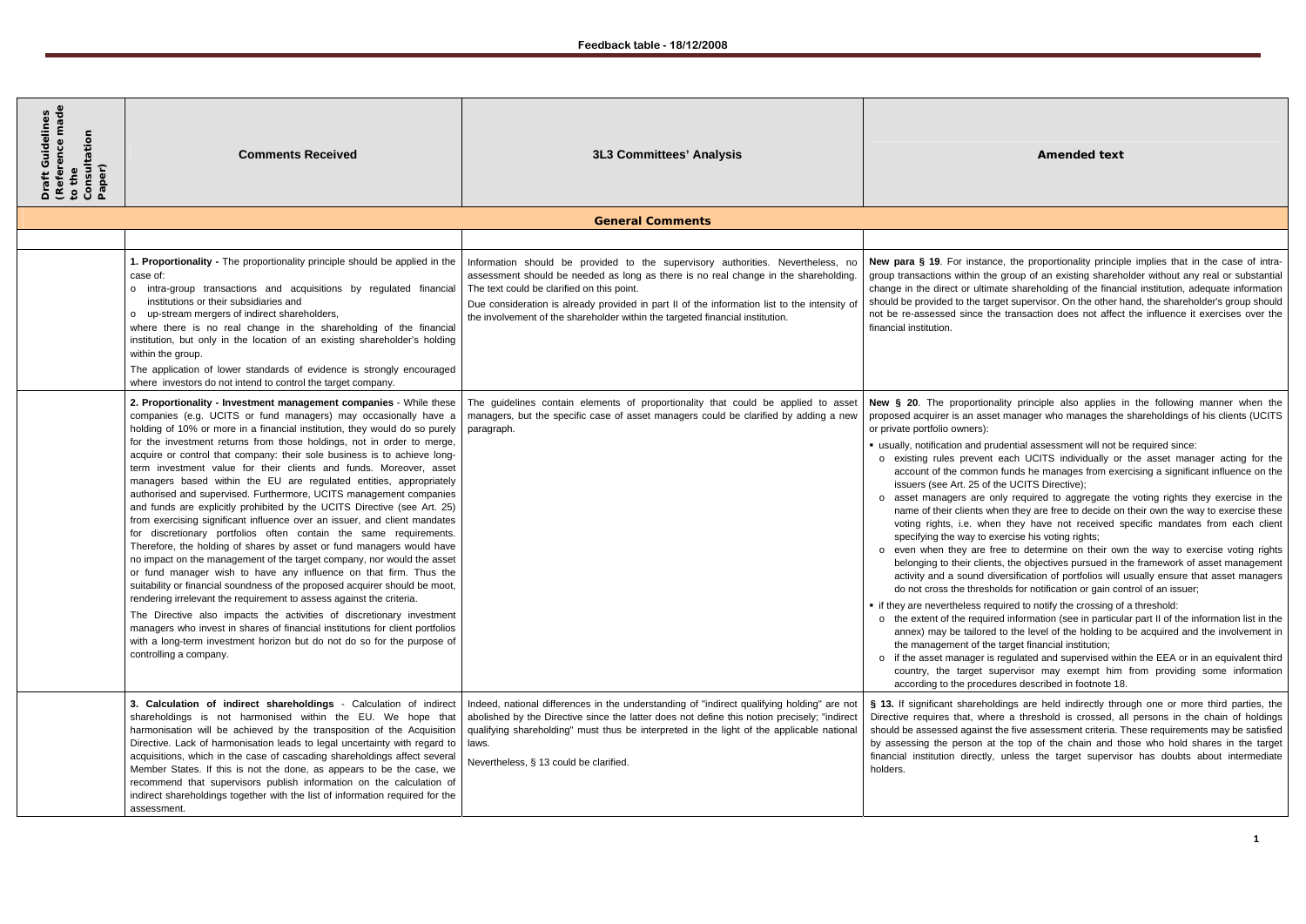nce, the proportionality principle implies that in the case of intrahe group of an existing shareholder without any real or substantial mate shareholding of the financial institution, adequate information arget supervisor. On the other hand, the shareholder's group should not be re-assessed since the transaction does not affect the influence it exercises over the

> nality principle also applies in the following manner when the set manager who manages the shareholdings of his clients (UCITS

orudential assessment will not be required since:

nt each UCITS individually or the asset manager acting for the ion funds he manages from exercising a significant influence on the of the UCITS Directive);

only required to aggregate the voting rights they exercise in the when they are free to decide on their own the way to exercise these en they have not received specific mandates from each client exercise his voting rights;

free to determine on their own the way to exercise voting rights ents, the objectives pursued in the framework of asset management diversification of portfolios will usually ensure that asset managers sholds for notification or gain control of an issuer;

equired to notify the crossing of a threshold:

ired information (see in particular part II of the information list in the ed to the level of the holding to be acquired and the involvement in he target financial institution;

is regulated and supervised within the EEA or in an equivalent third supervisor may exempt him from providing some information edures described in footnote 18.

oldings are held indirectly through one or more third parties, the nere a threshold is crossed, all persons in the chain of holdings st the five assessment criteria. These requirements may be satisfied at the top of the chain and those who hold shares in the target ly, unless the target supervisor has doubts about intermediate

| Draft Guius<br>(Reference made<br>to the<br>Consultation<br>Paper) | <b>Comments Received</b>                                                                                                                                                                                                                                                                                                                                                                                                                                                                                                                                                                                                                                                                                                                                                                                                                                                                                                                                                                                                                                                                                                                                                                                                                                                                                                                                                                                                                                                | <b>3L3 Committees' Analysis</b>                                                                                                                                                                                                                                                                                                                                                                       | <b>Amended text</b>                                                                                                                                                                                                                                                                                                                                                                                                                                                                                                                                                                                                                                                                                                                                                                                                                                                                                                                                                                                                                                                                                                                                                                                                                                                       |
|--------------------------------------------------------------------|-------------------------------------------------------------------------------------------------------------------------------------------------------------------------------------------------------------------------------------------------------------------------------------------------------------------------------------------------------------------------------------------------------------------------------------------------------------------------------------------------------------------------------------------------------------------------------------------------------------------------------------------------------------------------------------------------------------------------------------------------------------------------------------------------------------------------------------------------------------------------------------------------------------------------------------------------------------------------------------------------------------------------------------------------------------------------------------------------------------------------------------------------------------------------------------------------------------------------------------------------------------------------------------------------------------------------------------------------------------------------------------------------------------------------------------------------------------------------|-------------------------------------------------------------------------------------------------------------------------------------------------------------------------------------------------------------------------------------------------------------------------------------------------------------------------------------------------------------------------------------------------------|---------------------------------------------------------------------------------------------------------------------------------------------------------------------------------------------------------------------------------------------------------------------------------------------------------------------------------------------------------------------------------------------------------------------------------------------------------------------------------------------------------------------------------------------------------------------------------------------------------------------------------------------------------------------------------------------------------------------------------------------------------------------------------------------------------------------------------------------------------------------------------------------------------------------------------------------------------------------------------------------------------------------------------------------------------------------------------------------------------------------------------------------------------------------------------------------------------------------------------------------------------------------------|
|                                                                    |                                                                                                                                                                                                                                                                                                                                                                                                                                                                                                                                                                                                                                                                                                                                                                                                                                                                                                                                                                                                                                                                                                                                                                                                                                                                                                                                                                                                                                                                         | <b>General Comments</b>                                                                                                                                                                                                                                                                                                                                                                               |                                                                                                                                                                                                                                                                                                                                                                                                                                                                                                                                                                                                                                                                                                                                                                                                                                                                                                                                                                                                                                                                                                                                                                                                                                                                           |
|                                                                    |                                                                                                                                                                                                                                                                                                                                                                                                                                                                                                                                                                                                                                                                                                                                                                                                                                                                                                                                                                                                                                                                                                                                                                                                                                                                                                                                                                                                                                                                         |                                                                                                                                                                                                                                                                                                                                                                                                       |                                                                                                                                                                                                                                                                                                                                                                                                                                                                                                                                                                                                                                                                                                                                                                                                                                                                                                                                                                                                                                                                                                                                                                                                                                                                           |
|                                                                    | 1. Proportionality - The proportionality principle should be applied in the<br>case of:<br>o intra-group transactions and acquisitions by regulated financial<br>institutions or their subsidiaries and<br>o up-stream mergers of indirect shareholders,<br>where there is no real change in the shareholding of the financial<br>institution, but only in the location of an existing shareholder's holding<br>within the group.<br>The application of lower standards of evidence is strongly encouraged<br>where investors do not intend to control the target company.                                                                                                                                                                                                                                                                                                                                                                                                                                                                                                                                                                                                                                                                                                                                                                                                                                                                                              | Information should be provided to the supervisory authorities. Nevertheless, no<br>assessment should be needed as long as there is no real change in the shareholding.<br>The text could be clarified on this point.<br>Due consideration is already provided in part II of the information list to the intensity of<br>the involvement of the shareholder within the targeted financial institution. | New para § 19. For instance, the proportionality principl<br>group transactions within the group of an existing shareho<br>change in the direct or ultimate shareholding of the financ<br>should be provided to the target supervisor. On the other ha<br>not be re-assessed since the transaction does not affect<br>financial institution.                                                                                                                                                                                                                                                                                                                                                                                                                                                                                                                                                                                                                                                                                                                                                                                                                                                                                                                              |
|                                                                    | 2. Proportionality - Investment management companies - While these<br>companies (e.g. UCITS or fund managers) may occasionally have a<br>holding of 10% or more in a financial institution, they would do so purely<br>for the investment returns from those holdings, not in order to merge,<br>acquire or control that company: their sole business is to achieve long-<br>term investment value for their clients and funds. Moreover, asset<br>managers based within the EU are regulated entities, appropriately<br>authorised and supervised. Furthermore, UCITS management companies<br>and funds are explicitly prohibited by the UCITS Directive (see Art. 25)<br>from exercising significant influence over an issuer, and client mandates<br>for discretionary portfolios often contain the same requirements.<br>Therefore, the holding of shares by asset or fund managers would have<br>no impact on the management of the target company, nor would the asset<br>or fund manager wish to have any influence on that firm. Thus the<br>suitability or financial soundness of the proposed acquirer should be moot,<br>rendering irrelevant the requirement to assess against the criteria.<br>The Directive also impacts the activities of discretionary investment<br>managers who invest in shares of financial institutions for client portfolios<br>with a long-term investment horizon but do not do so for the purpose of<br>controlling a company. | The guidelines contain elements of proportionality that could be applied to asset<br>managers, but the specific case of asset managers could be clarified by adding a new<br>paragraph.                                                                                                                                                                                                               | New § 20. The proportionality principle also applies in<br>proposed acquirer is an asset manager who manages the<br>or private portfolio owners):<br>" usually, notification and prudential assessment will not be<br>o existing rules prevent each UCITS individually or<br>account of the common funds he manages from exer<br>issuers (see Art. 25 of the UCITS Directive);<br>o asset managers are only required to aggregate the<br>name of their clients when they are free to decide on<br>voting rights, i.e. when they have not received sp<br>specifying the way to exercise his voting rights;<br>o even when they are free to determine on their owr<br>belonging to their clients, the objectives pursued in th<br>activity and a sound diversification of portfolios will u<br>do not cross the thresholds for notification or gain cor<br>• if they are nevertheless required to notify the crossing of<br>o the extent of the required information (see in particula<br>annex) may be tailored to the level of the holding to<br>the management of the target financial institution;<br>o if the asset manager is regulated and supervised with<br>country, the target supervisor may exempt him<br>according to the procedures described in footnote 18. |
|                                                                    | 3. Calculation of indirect shareholdings - Calculation of indirect<br>shareholdings is not harmonised within the EU. We hope that<br>harmonisation will be achieved by the transposition of the Acquisition<br>Directive. Lack of harmonisation leads to legal uncertainty with regard to<br>acquisitions, which in the case of cascading shareholdings affect several<br>Member States. If this is not the done, as appears to be the case, we<br>recommend that supervisors publish information on the calculation of<br>indirect shareholdings together with the list of information required for the<br>assessment.                                                                                                                                                                                                                                                                                                                                                                                                                                                                                                                                                                                                                                                                                                                                                                                                                                                 | Indeed, national differences in the understanding of "indirect qualifying holding" are not<br>abolished by the Directive since the latter does not define this notion precisely; "indirect<br>qualifying shareholding" must thus be interpreted in the light of the applicable national<br>laws.<br>Nevertheless, § 13 could be clarified.                                                            | § 13. If significant shareholdings are held indirectly thro<br>Directive requires that, where a threshold is crossed, all<br>should be assessed against the five assessment criteria. T<br>by assessing the person at the top of the chain and the<br>financial institution directly, unless the target supervise<br>holders.                                                                                                                                                                                                                                                                                                                                                                                                                                                                                                                                                                                                                                                                                                                                                                                                                                                                                                                                             |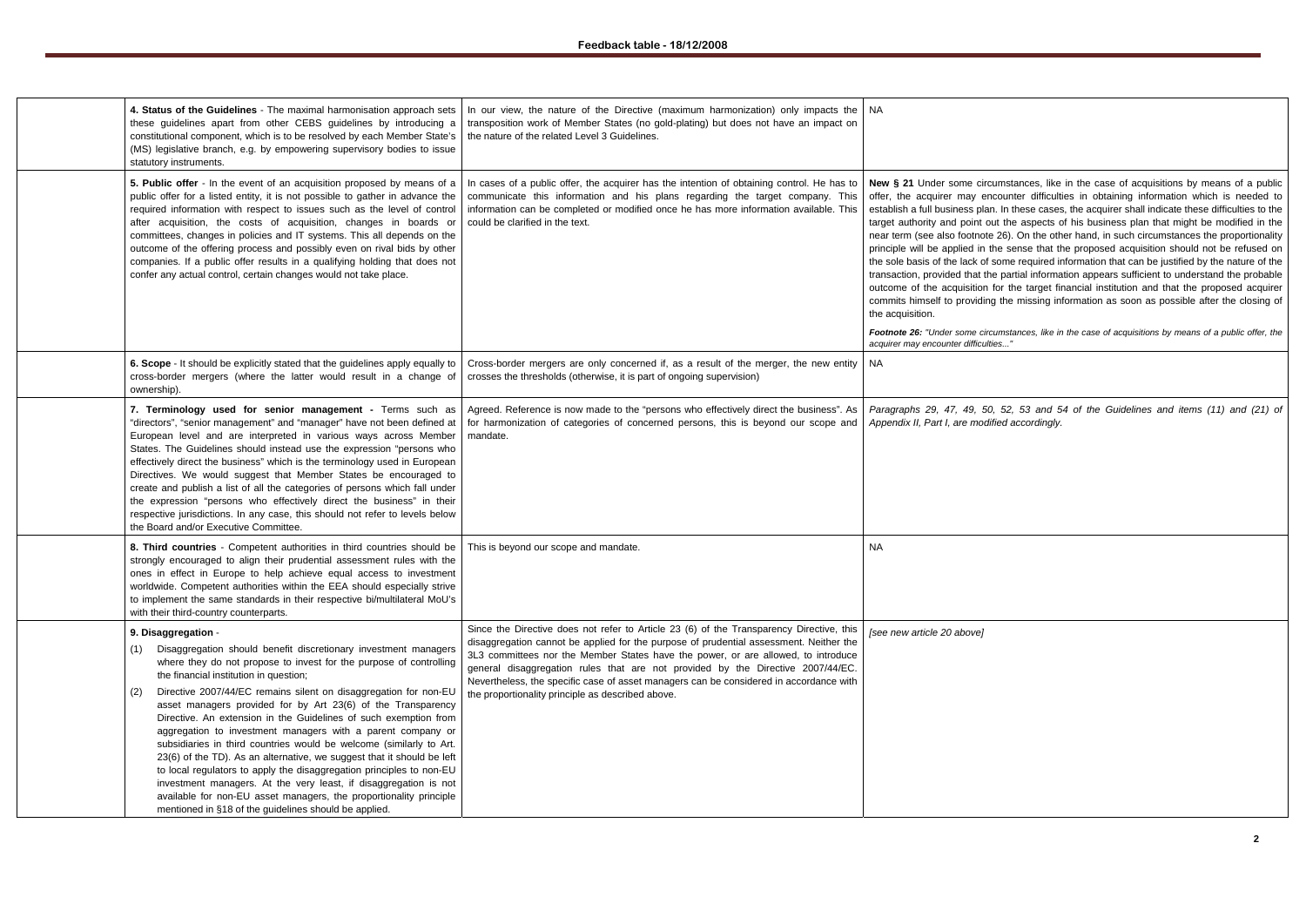*Footnote 26: "Under some circumstances, like in the case of acquisitions by means of a public offer, the acquirer may encounter difficulties..."*

| 4. Status of the Guidelines - The maximal harmonisation approach sets<br>these guidelines apart from other CEBS guidelines by introducing a<br>constitutional component, which is to be resolved by each Member State's<br>(MS) legislative branch, e.g. by empowering supervisory bodies to issue<br>statutory instruments.                                                                                                                                                                                                                                                                                                                                                                                                                                                                                                                                                                                            | In our view, the nature of the Directive (maximum harmonization) only impacts the<br>transposition work of Member States (no gold-plating) but does not have an impact on<br>the nature of the related Level 3 Guidelines.                                                                                                                                                                                                                                                                                | NA.                                                                                                                                                                                                                                                                                                                               |
|-------------------------------------------------------------------------------------------------------------------------------------------------------------------------------------------------------------------------------------------------------------------------------------------------------------------------------------------------------------------------------------------------------------------------------------------------------------------------------------------------------------------------------------------------------------------------------------------------------------------------------------------------------------------------------------------------------------------------------------------------------------------------------------------------------------------------------------------------------------------------------------------------------------------------|-----------------------------------------------------------------------------------------------------------------------------------------------------------------------------------------------------------------------------------------------------------------------------------------------------------------------------------------------------------------------------------------------------------------------------------------------------------------------------------------------------------|-----------------------------------------------------------------------------------------------------------------------------------------------------------------------------------------------------------------------------------------------------------------------------------------------------------------------------------|
| 5. Public offer - In the event of an acquisition proposed by means of a<br>public offer for a listed entity, it is not possible to gather in advance the<br>required information with respect to issues such as the level of control<br>after acquisition, the costs of acquisition, changes in boards or<br>committees, changes in policies and IT systems. This all depends on the<br>outcome of the offering process and possibly even on rival bids by other<br>companies. If a public offer results in a qualifying holding that does not<br>confer any actual control, certain changes would not take place.                                                                                                                                                                                                                                                                                                      | In cases of a public offer, the acquirer has the intention of obtaining control. He has to<br>communicate this information and his plans regarding the target company. This<br>information can be completed or modified once he has more information available. This<br>could be clarified in the text.                                                                                                                                                                                                   | New § 21 Under some cir<br>offer, the acquirer may e<br>establish a full business pla<br>target authority and point<br>near term (see also footno<br>principle will be applied in<br>the sole basis of the lack o<br>transaction, provided that t<br>outcome of the acquisition<br>commits himself to providi<br>the acquisition. |
|                                                                                                                                                                                                                                                                                                                                                                                                                                                                                                                                                                                                                                                                                                                                                                                                                                                                                                                         |                                                                                                                                                                                                                                                                                                                                                                                                                                                                                                           | Footnote 26: "Under some ci<br>acquirer may encounter difficu                                                                                                                                                                                                                                                                     |
| 6. Scope - It should be explicitly stated that the guidelines apply equally to<br>cross-border mergers (where the latter would result in a change of<br>ownership).                                                                                                                                                                                                                                                                                                                                                                                                                                                                                                                                                                                                                                                                                                                                                     | Cross-border mergers are only concerned if, as a result of the merger, the new entity<br>crosses the thresholds (otherwise, it is part of ongoing supervision)                                                                                                                                                                                                                                                                                                                                            | NA.                                                                                                                                                                                                                                                                                                                               |
| 7. Terminology used for senior management - Terms such as<br>"directors", "senior management" and "manager" have not been defined at<br>European level and are interpreted in various ways across Member<br>States. The Guidelines should instead use the expression "persons who<br>effectively direct the business" which is the terminology used in European<br>Directives. We would suggest that Member States be encouraged to<br>create and publish a list of all the categories of persons which fall under<br>the expression "persons who effectively direct the business" in their<br>respective jurisdictions. In any case, this should not refer to levels below<br>the Board and/or Executive Committee.                                                                                                                                                                                                    | Agreed. Reference is now made to the "persons who effectively direct the business". As<br>for harmonization of categories of concerned persons, this is beyond our scope and<br>mandate.                                                                                                                                                                                                                                                                                                                  | Paragraphs 29, 47, 49, 5<br>Appendix II, Part I, are mod                                                                                                                                                                                                                                                                          |
| 8. Third countries - Competent authorities in third countries should be<br>strongly encouraged to align their prudential assessment rules with the<br>ones in effect in Europe to help achieve equal access to investment<br>worldwide. Competent authorities within the EEA should especially strive<br>to implement the same standards in their respective bi/multilateral MoU's<br>with their third-country counterparts.                                                                                                                                                                                                                                                                                                                                                                                                                                                                                            | This is beyond our scope and mandate.                                                                                                                                                                                                                                                                                                                                                                                                                                                                     | NA.                                                                                                                                                                                                                                                                                                                               |
| 9. Disaggregation -<br>Disaggregation should benefit discretionary investment managers<br>(1)<br>where they do not propose to invest for the purpose of controlling<br>the financial institution in question;<br>Directive 2007/44/EC remains silent on disaggregation for non-EU<br>(2)<br>asset managers provided for by Art 23(6) of the Transparency<br>Directive. An extension in the Guidelines of such exemption from<br>aggregation to investment managers with a parent company or<br>subsidiaries in third countries would be welcome (similarly to Art.<br>23(6) of the TD). As an alternative, we suggest that it should be left<br>to local regulators to apply the disaggregation principles to non-EU<br>investment managers. At the very least, if disaggregation is not<br>available for non-EU asset managers, the proportionality principle<br>mentioned in §18 of the guidelines should be applied. | Since the Directive does not refer to Article 23 (6) of the Transparency Directive, this<br>disaggregation cannot be applied for the purpose of prudential assessment. Neither the<br>3L3 committees nor the Member States have the power, or are allowed, to introduce<br>general disaggregation rules that are not provided by the Directive 2007/44/EC.<br>Nevertheless, the specific case of asset managers can be considered in accordance with<br>the proportionality principle as described above. | [see new article 20 above]                                                                                                                                                                                                                                                                                                        |

ircumstances, like in the case of acquisitions by means of a public encounter difficulties in obtaining information which is needed to lan. In these cases, the acquirer shall indicate these difficulties to the tout the aspects of his business plan that might be modified in the ote 26). On the other hand, in such circumstances the proportionality fivile sense that the proposed acquisition should not be refused on of some required information that can be justified by the nature of the the partial information appears sufficient to understand the probable on for the target financial institution and that the proposed acquirer ling the missing information as soon as possible after the closing of

*Paragraphs 29, 47, 49, 50, 52, 53 and 54 of the Guidelines and items (11) and (21) of Appendix II, Part I, are modified accordingly.*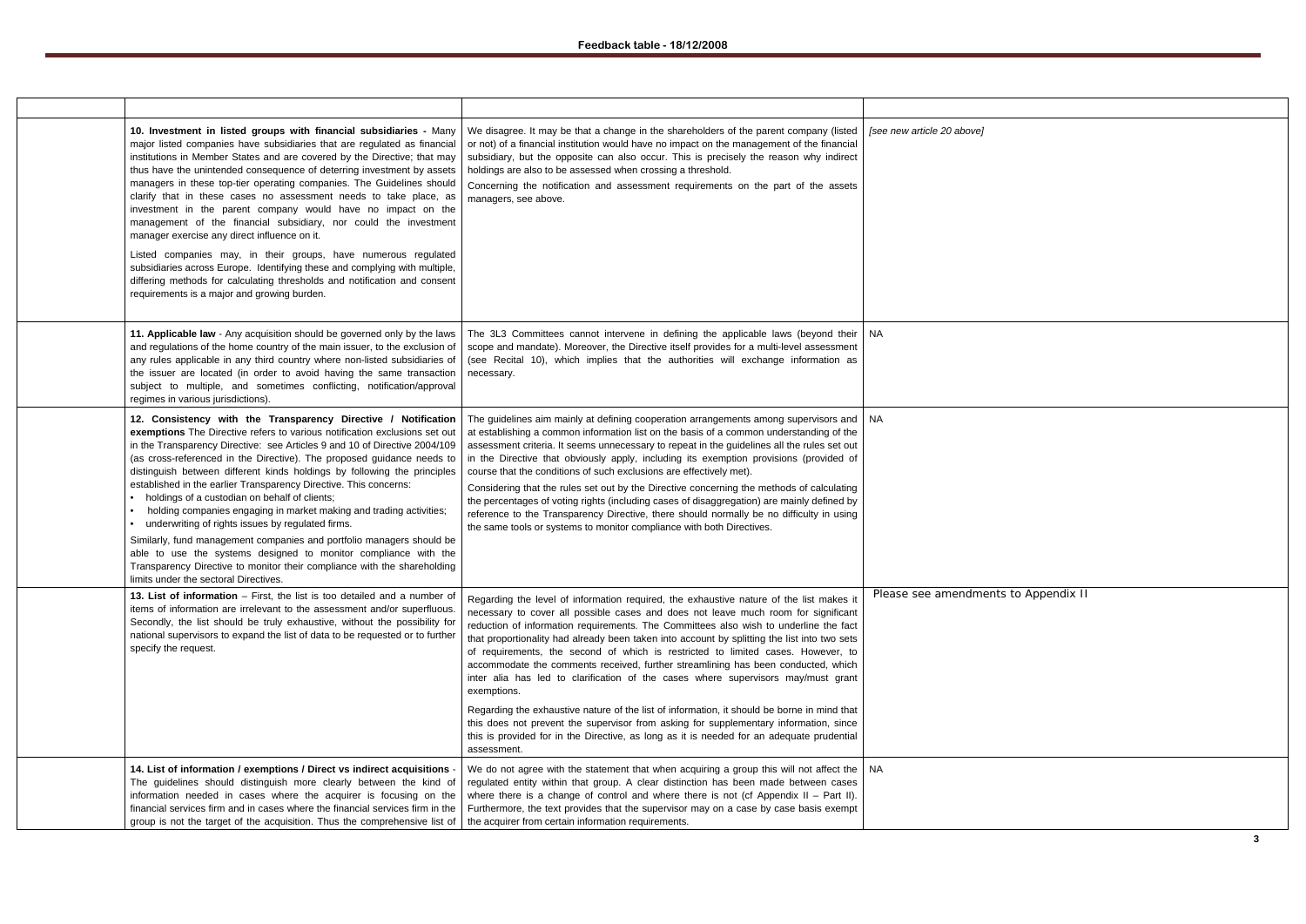| 10. Investment in listed groups with financial subsidiaries - Many<br>major listed companies have subsidiaries that are regulated as financial<br>institutions in Member States and are covered by the Directive; that may<br>thus have the unintended consequence of deterring investment by assets<br>managers in these top-tier operating companies. The Guidelines should<br>clarify that in these cases no assessment needs to take place, as<br>investment in the parent company would have no impact on the<br>management of the financial subsidiary, nor could the investment<br>manager exercise any direct influence on it.<br>Listed companies may, in their groups, have numerous regulated<br>subsidiaries across Europe. Identifying these and complying with multiple,<br>differing methods for calculating thresholds and notification and consent<br>requirements is a major and growing burden.   | We disagree. It may be that a change in the shareholders of the parent company (listed<br>or not) of a financial institution would have no impact on the management of the financial<br>subsidiary, but the opposite can also occur. This is precisely the reason why indirect<br>holdings are also to be assessed when crossing a threshold.<br>Concerning the notification and assessment requirements on the part of the assets<br>managers, see above.                                                                                                                                                                                                                                                                                                                                                                                                                                                                                              | [see new article 20 above] |
|----------------------------------------------------------------------------------------------------------------------------------------------------------------------------------------------------------------------------------------------------------------------------------------------------------------------------------------------------------------------------------------------------------------------------------------------------------------------------------------------------------------------------------------------------------------------------------------------------------------------------------------------------------------------------------------------------------------------------------------------------------------------------------------------------------------------------------------------------------------------------------------------------------------------|---------------------------------------------------------------------------------------------------------------------------------------------------------------------------------------------------------------------------------------------------------------------------------------------------------------------------------------------------------------------------------------------------------------------------------------------------------------------------------------------------------------------------------------------------------------------------------------------------------------------------------------------------------------------------------------------------------------------------------------------------------------------------------------------------------------------------------------------------------------------------------------------------------------------------------------------------------|----------------------------|
| 11. Applicable law - Any acquisition should be governed only by the laws<br>and regulations of the home country of the main issuer, to the exclusion of<br>any rules applicable in any third country where non-listed subsidiaries of<br>the issuer are located (in order to avoid having the same transaction<br>subject to multiple, and sometimes conflicting, notification/approval<br>regimes in various jurisdictions).                                                                                                                                                                                                                                                                                                                                                                                                                                                                                        | The 3L3 Committees cannot intervene in defining the applicable laws (beyond their<br>scope and mandate). Moreover, the Directive itself provides for a multi-level assessment<br>(see Recital 10), which implies that the authorities will exchange information as<br>necessary.                                                                                                                                                                                                                                                                                                                                                                                                                                                                                                                                                                                                                                                                        | NA.                        |
| 12. Consistency with the Transparency Directive / Notification<br>exemptions The Directive refers to various notification exclusions set out<br>in the Transparency Directive: see Articles 9 and 10 of Directive 2004/109<br>(as cross-referenced in the Directive). The proposed guidance needs to<br>distinguish between different kinds holdings by following the principles<br>established in the earlier Transparency Directive. This concerns:<br>• holdings of a custodian on behalf of clients;<br>holding companies engaging in market making and trading activities;<br>$\bullet$<br>• underwriting of rights issues by regulated firms.<br>Similarly, fund management companies and portfolio managers should be<br>able to use the systems designed to monitor compliance with the<br>Transparency Directive to monitor their compliance with the shareholding<br>limits under the sectoral Directives. | The guidelines aim mainly at defining cooperation arrangements among supervisors and<br>at establishing a common information list on the basis of a common understanding of the<br>assessment criteria. It seems unnecessary to repeat in the guidelines all the rules set out<br>in the Directive that obviously apply, including its exemption provisions (provided of<br>course that the conditions of such exclusions are effectively met).<br>Considering that the rules set out by the Directive concerning the methods of calculating<br>the percentages of voting rights (including cases of disaggregation) are mainly defined by<br>reference to the Transparency Directive, there should normally be no difficulty in using<br>the same tools or systems to monitor compliance with both Directives.                                                                                                                                         | <b>NA</b>                  |
| 13. List of information - First, the list is too detailed and a number of<br>items of information are irrelevant to the assessment and/or superfluous.<br>Secondly, the list should be truly exhaustive, without the possibility for<br>national supervisors to expand the list of data to be requested or to further<br>specify the request.                                                                                                                                                                                                                                                                                                                                                                                                                                                                                                                                                                        | Regarding the level of information required, the exhaustive nature of the list makes it<br>necessary to cover all possible cases and does not leave much room for significant<br>reduction of information requirements. The Committees also wish to underline the fact<br>that proportionality had already been taken into account by splitting the list into two sets<br>of requirements, the second of which is restricted to limited cases. However, to<br>accommodate the comments received, further streamlining has been conducted, which<br>inter alia has led to clarification of the cases where supervisors may/must grant<br>exemptions.<br>Regarding the exhaustive nature of the list of information, it should be borne in mind that<br>this does not prevent the supervisor from asking for supplementary information, since<br>this is provided for in the Directive, as long as it is needed for an adequate prudential<br>assessment. | Please see amendme         |
| 14. List of information / exemptions / Direct vs indirect acquisitions -<br>The guidelines should distinguish more clearly between the kind of<br>information needed in cases where the acquirer is focusing on the<br>financial services firm and in cases where the financial services firm in the<br>group is not the target of the acquisition. Thus the comprehensive list of                                                                                                                                                                                                                                                                                                                                                                                                                                                                                                                                   | We do not agree with the statement that when acquiring a group this will not affect the<br>regulated entity within that group. A clear distinction has been made between cases<br>where there is a change of control and where there is not (cf Appendix $II - Part II$ ).<br>Furthermore, the text provides that the supervisor may on a case by case basis exempt<br>the acquirer from certain information requirements.                                                                                                                                                                                                                                                                                                                                                                                                                                                                                                                              | NA.                        |

**Please is a Appendix II**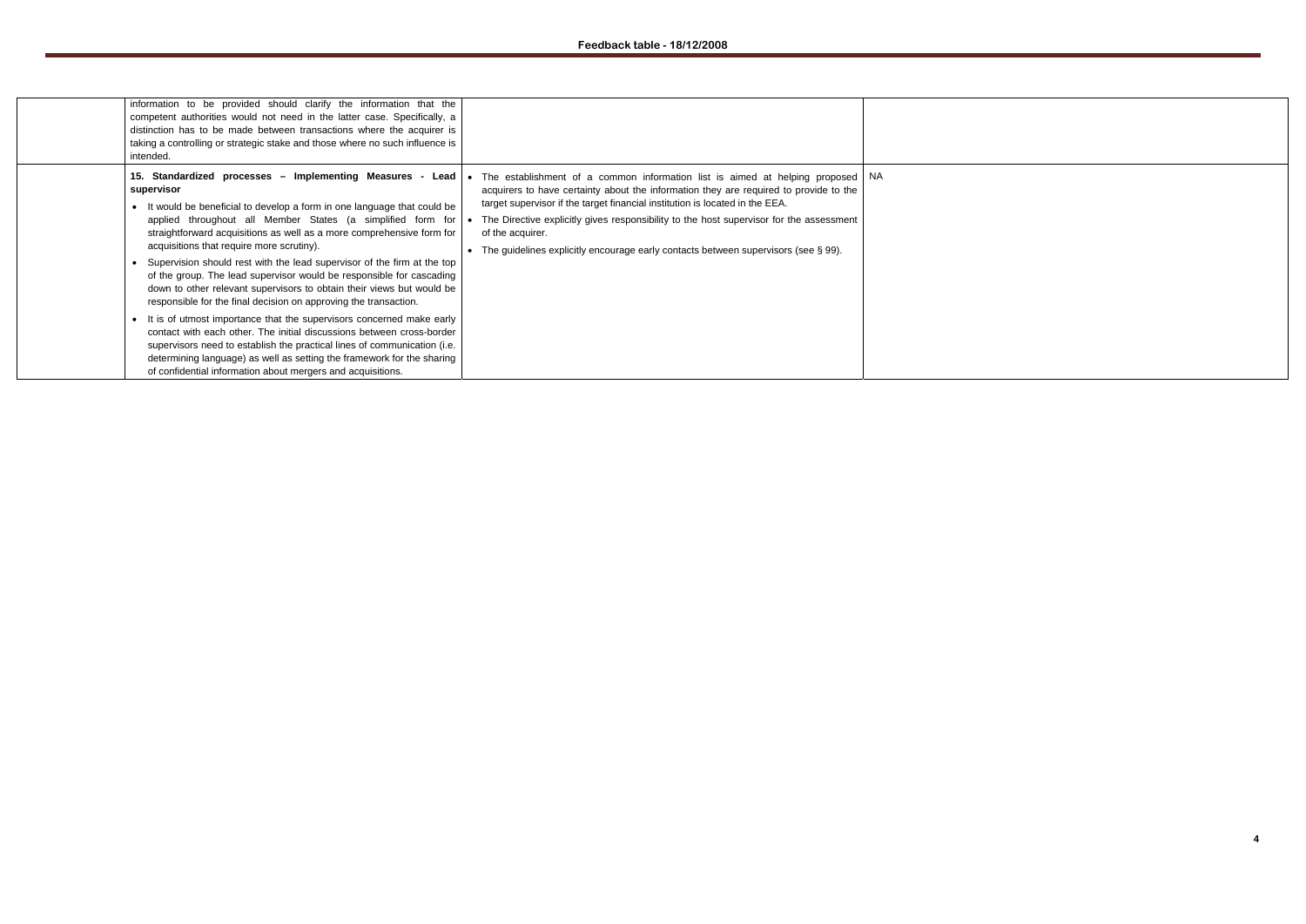| information to be provided should clarify the information that the<br>competent authorities would not need in the latter case. Specifically, a<br>distinction has to be made between transactions where the acquirer is<br>taking a controlling or strategic stake and those where no such influence is<br>intended.                                                                                                                                                                                                                                                                                                                                                                                                                                                                                                                                                                                                                                                                                         |                                                                                                                                                                                                                                                                                                                                                                                                                                                           |      |
|--------------------------------------------------------------------------------------------------------------------------------------------------------------------------------------------------------------------------------------------------------------------------------------------------------------------------------------------------------------------------------------------------------------------------------------------------------------------------------------------------------------------------------------------------------------------------------------------------------------------------------------------------------------------------------------------------------------------------------------------------------------------------------------------------------------------------------------------------------------------------------------------------------------------------------------------------------------------------------------------------------------|-----------------------------------------------------------------------------------------------------------------------------------------------------------------------------------------------------------------------------------------------------------------------------------------------------------------------------------------------------------------------------------------------------------------------------------------------------------|------|
| 15. Standardized processes - Implementing Measures - Lead<br>supervisor<br>It would be beneficial to develop a form in one language that could be<br>applied throughout all Member States (a simplified form for<br>straightforward acquisitions as well as a more comprehensive form for<br>acquisitions that require more scrutiny).<br>Supervision should rest with the lead supervisor of the firm at the top<br>of the group. The lead supervisor would be responsible for cascading<br>down to other relevant supervisors to obtain their views but would be<br>responsible for the final decision on approving the transaction.<br>It is of utmost importance that the supervisors concerned make early<br>contact with each other. The initial discussions between cross-border<br>supervisors need to establish the practical lines of communication (i.e.<br>determining language) as well as setting the framework for the sharing<br>of confidential information about mergers and acquisitions. | The establishment of a common information list is aimed at helping proposed<br>acquirers to have certainty about the information they are required to provide to the<br>target supervisor if the target financial institution is located in the EEA.<br>The Directive explicitly gives responsibility to the host supervisor for the assessment<br>of the acquirer.<br>The guidelines explicitly encourage early contacts between supervisors (see § 99). | - NA |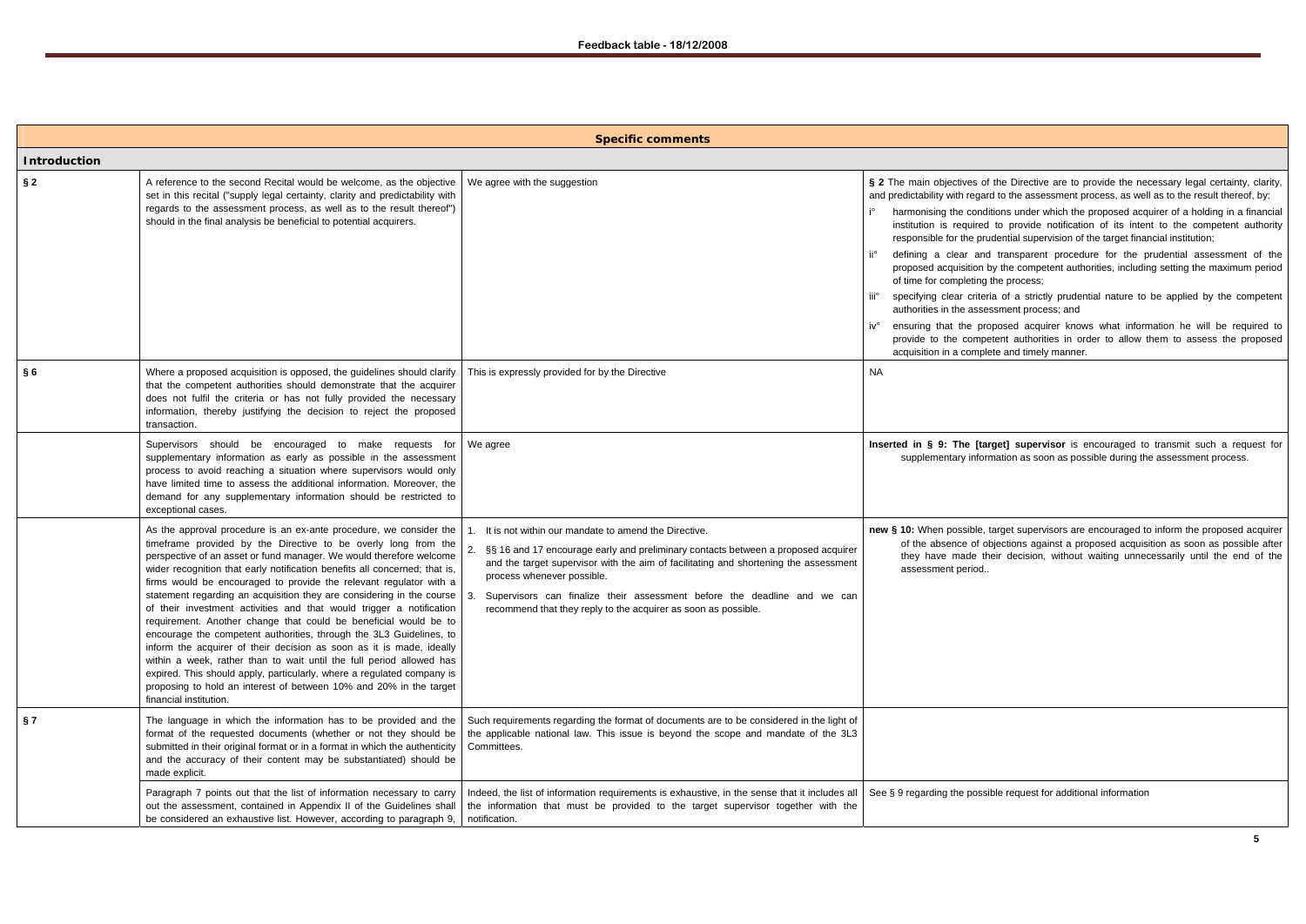|                     |                                                                                                                                                                                                                                                                                                                                                                                                                                                                                                                                                                                                                                                                                                                                                                                                                                                                                                                                                                                                  | <b>Specific comments</b>                                                                                                                                                                                                                                                                                                                                                                                            |                                                                                                                                                                                                                                                                                                                                                                               |
|---------------------|--------------------------------------------------------------------------------------------------------------------------------------------------------------------------------------------------------------------------------------------------------------------------------------------------------------------------------------------------------------------------------------------------------------------------------------------------------------------------------------------------------------------------------------------------------------------------------------------------------------------------------------------------------------------------------------------------------------------------------------------------------------------------------------------------------------------------------------------------------------------------------------------------------------------------------------------------------------------------------------------------|---------------------------------------------------------------------------------------------------------------------------------------------------------------------------------------------------------------------------------------------------------------------------------------------------------------------------------------------------------------------------------------------------------------------|-------------------------------------------------------------------------------------------------------------------------------------------------------------------------------------------------------------------------------------------------------------------------------------------------------------------------------------------------------------------------------|
| <b>Introduction</b> |                                                                                                                                                                                                                                                                                                                                                                                                                                                                                                                                                                                                                                                                                                                                                                                                                                                                                                                                                                                                  |                                                                                                                                                                                                                                                                                                                                                                                                                     |                                                                                                                                                                                                                                                                                                                                                                               |
| $\S 2$              | A reference to the second Recital would be welcome, as the objective<br>set in this recital ("supply legal certainty, clarity and predictability with<br>regards to the assessment process, as well as to the result thereof")<br>should in the final analysis be beneficial to potential acquirers.                                                                                                                                                                                                                                                                                                                                                                                                                                                                                                                                                                                                                                                                                             | We agree with the suggestion                                                                                                                                                                                                                                                                                                                                                                                        | § 2 The main objectives of<br>and predictability with regard<br>harmonising the condit<br>institution is required<br>responsible for the pru<br>defining a clear and<br>proposed acquisition b<br>of time for completing t<br>specifying clear criteri<br>iii°<br>authorities in the asses<br>iv°<br>ensuring that the pro<br>provide to the compe<br>acquisition in a comple |
| §6                  | Where a proposed acquisition is opposed, the guidelines should clarify<br>that the competent authorities should demonstrate that the acquirer<br>does not fulfil the criteria or has not fully provided the necessary<br>information, thereby justifying the decision to reject the proposed<br>transaction.                                                                                                                                                                                                                                                                                                                                                                                                                                                                                                                                                                                                                                                                                     | This is expressly provided for by the Directive                                                                                                                                                                                                                                                                                                                                                                     | <b>NA</b>                                                                                                                                                                                                                                                                                                                                                                     |
|                     | Supervisors should be encouraged to make requests for<br>supplementary information as early as possible in the assessment<br>process to avoid reaching a situation where supervisors would only<br>have limited time to assess the additional information. Moreover, the<br>demand for any supplementary information should be restricted to<br>exceptional cases.                                                                                                                                                                                                                                                                                                                                                                                                                                                                                                                                                                                                                               | We agree                                                                                                                                                                                                                                                                                                                                                                                                            | Inserted in § 9: The [tar<br>supplementary inforn                                                                                                                                                                                                                                                                                                                             |
|                     | As the approval procedure is an ex-ante procedure, we consider the<br>timeframe provided by the Directive to be overly long from the<br>perspective of an asset or fund manager. We would therefore welcome<br>wider recognition that early notification benefits all concerned; that is,<br>firms would be encouraged to provide the relevant regulator with a<br>statement regarding an acquisition they are considering in the course $\vert$ 3.<br>of their investment activities and that would trigger a notification<br>requirement. Another change that could be beneficial would be to<br>encourage the competent authorities, through the 3L3 Guidelines, to<br>inform the acquirer of their decision as soon as it is made, ideally<br>within a week, rather than to wait until the full period allowed has<br>expired. This should apply, particularly, where a regulated company is<br>proposing to hold an interest of between 10% and 20% in the target<br>financial institution. | It is not within our mandate to amend the Directive.<br>2.<br>§§ 16 and 17 encourage early and preliminary contacts between a proposed acquirer<br>and the target supervisor with the aim of facilitating and shortening the assessment<br>process whenever possible.<br>Supervisors can finalize their assessment before the deadline and we can<br>recommend that they reply to the acquirer as soon as possible. | new § 10: When possible, t<br>of the absence of ob<br>they have made the<br>assessment period                                                                                                                                                                                                                                                                                 |
| § 7                 | The language in which the information has to be provided and the<br>format of the requested documents (whether or not they should be<br>submitted in their original format or in a format in which the authenticity<br>and the accuracy of their content may be substantiated) should be<br>made explicit.                                                                                                                                                                                                                                                                                                                                                                                                                                                                                                                                                                                                                                                                                       | Such requirements regarding the format of documents are to be considered in the light of<br>the applicable national law. This issue is beyond the scope and mandate of the 3L3<br>Committees.                                                                                                                                                                                                                       |                                                                                                                                                                                                                                                                                                                                                                               |
|                     | Paragraph 7 points out that the list of information necessary to carry<br>out the assessment, contained in Appendix II of the Guidelines shall<br>be considered an exhaustive list. However, according to paragraph 9,                                                                                                                                                                                                                                                                                                                                                                                                                                                                                                                                                                                                                                                                                                                                                                           | Indeed, the list of information requirements is exhaustive, in the sense that it includes all<br>the information that must be provided to the target supervisor together with the<br>notification.                                                                                                                                                                                                                  | See § 9 regarding the possil                                                                                                                                                                                                                                                                                                                                                  |

of the Directive are to provide the necessary legal certainty, clarity, rd to the assessment process, as well as to the result thereof, by:

ditions under which the proposed acquirer of a holding in a financial I to provide notification of its intent to the competent authority udential supervision of the target financial institution;

id transparent procedure for the prudential assessment of the by the competent authorities, including setting the maximum period of the process;

ria of a strictly prudential nature to be applied by the competent essment process; and

oposed acquirer knows what information he will be required to etent authorities in order to allow them to assess the proposed lete and timely manner.

arget] supervisor is encouraged to transmit such a request for rmation as soon as possible during the assessment process.

target supervisors are encouraged to inform the proposed acquirer objections against a proposed acquisition as soon as possible after heir decision, without waiting unnecessarily until the end of the

### sible request for additional information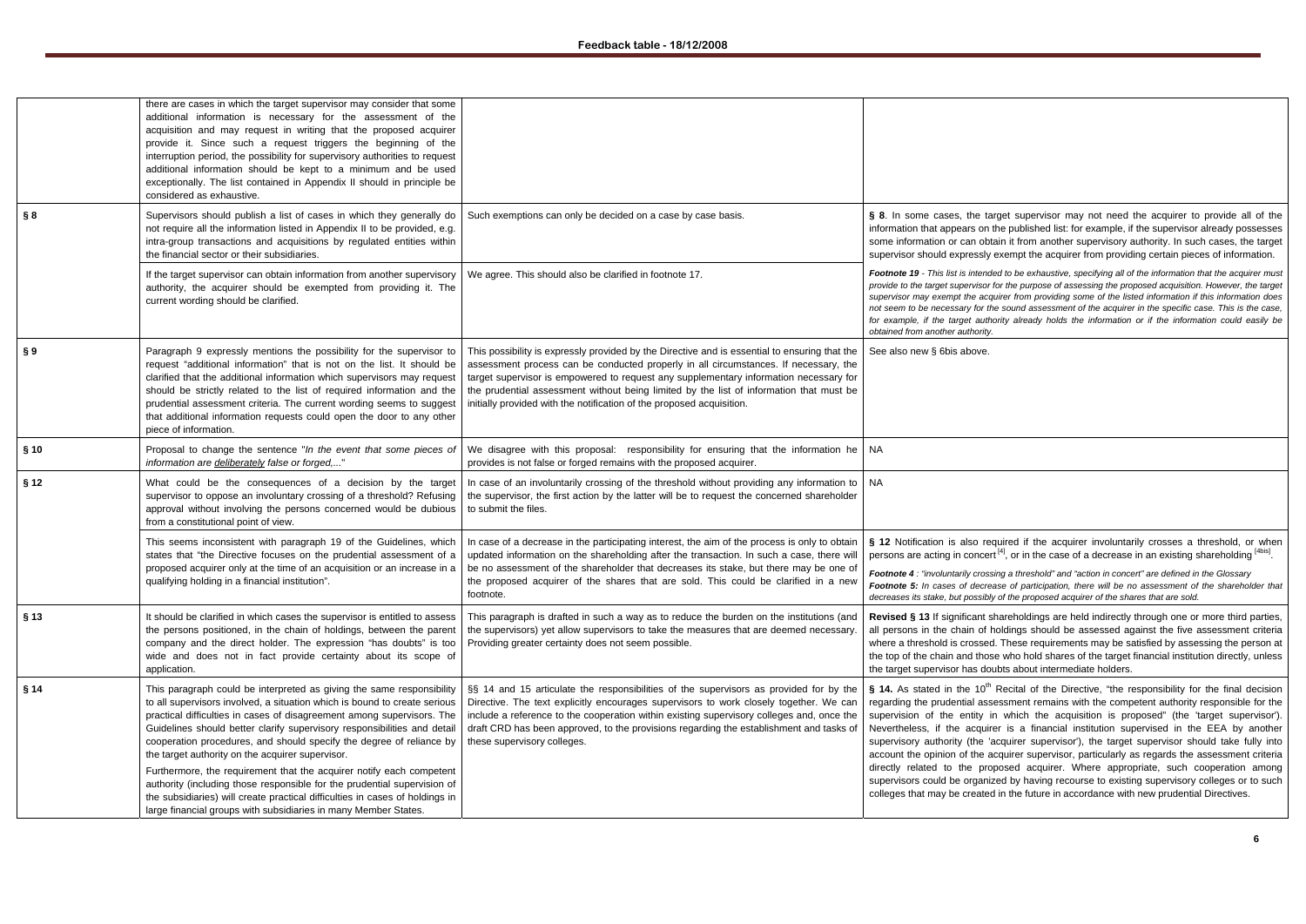*Footnote 19 - This list is intended to be exhaustive, specifying all of the information that the acquirer must pr* for the purpose of assessing the proposed acquisition. However, the target cquirer from providing some of the listed information if this information does *not seem to be necessary for the sound assessment of the acquirer in the specific case. This is the case,*  thority already holds the information or if the information could easily be

equired if the acquirer involuntarily crosses a threshold, or when ert  $^{[4]}$ , or in the case of a decrease in an existing shareholding  $^{[4\text{bis}]}$ .

*Footnote 4 a threshold"* and "action in concert" are defined in the Glossary *Footnote 5: In cases of decrease of participation, there will be no assessment of the shareholder that decreases its stake, but possibly of the proposed acquirer of the shares that are sold.* 

shareholdings are held indirectly through one or more third parties, i holdings should be assessed against the five assessment criteria ed. These requirements may be satisfied by assessing the person at ose who hold shares of the target financial institution directly, unless loubts about intermediate holders.

<sup>h</sup> Recital of the Directive, "the responsibility for the final decision ssessment remains with the competent authority responsible for the in which the acquisition is proposed" (the 'target supervisor'). irer is a financial institution supervised in the EEA by another 'acquirer supervisor'), the target supervisor should take fully into acquirer supervisor, particularly as regards the assessment criteria roposed acquirer. Where appropriate, such cooperation among hized by having recourse to existing supervisory colleges or to such ed in the future in accordance with new prudential Directives.

|        | there are cases in which the target supervisor may consider that some<br>additional information is necessary for the assessment of the<br>acquisition and may request in writing that the proposed acquirer<br>provide it. Since such a request triggers the beginning of the<br>interruption period, the possibility for supervisory authorities to request<br>additional information should be kept to a minimum and be used<br>exceptionally. The list contained in Appendix II should in principle be<br>considered as exhaustive. |                                                                                                                                                                                                                                                                                                                                                                                                                                                    |                                                                                                                                                                                                                                |
|--------|----------------------------------------------------------------------------------------------------------------------------------------------------------------------------------------------------------------------------------------------------------------------------------------------------------------------------------------------------------------------------------------------------------------------------------------------------------------------------------------------------------------------------------------|----------------------------------------------------------------------------------------------------------------------------------------------------------------------------------------------------------------------------------------------------------------------------------------------------------------------------------------------------------------------------------------------------------------------------------------------------|--------------------------------------------------------------------------------------------------------------------------------------------------------------------------------------------------------------------------------|
| § 8    | Supervisors should publish a list of cases in which they generally do<br>not require all the information listed in Appendix II to be provided, e.g.<br>intra-group transactions and acquisitions by regulated entities within<br>the financial sector or their subsidiaries.                                                                                                                                                                                                                                                           | Such exemptions can only be decided on a case by case basis.                                                                                                                                                                                                                                                                                                                                                                                       | § 8. In some cases, the ta<br>information that appears on<br>some information or can obt<br>supervisor should expressly                                                                                                        |
|        | If the target supervisor can obtain information from another supervisory<br>authority, the acquirer should be exempted from providing it. The<br>current wording should be clarified.                                                                                                                                                                                                                                                                                                                                                  | We agree. This should also be clarified in footnote 17.                                                                                                                                                                                                                                                                                                                                                                                            | Footnote 19 - This list is intend<br>provide to the target supervisor<br>supervisor may exempt the acq<br>not seem to be necessary for th<br>for example, if the target auth<br>obtained from another authority.               |
| § 9    | Paragraph 9 expressly mentions the possibility for the supervisor to<br>request "additional information" that is not on the list. It should be<br>clarified that the additional information which supervisors may request<br>should be strictly related to the list of required information and the<br>prudential assessment criteria. The current wording seems to suggest<br>that additional information requests could open the door to any other<br>piece of information.                                                          | This possibility is expressly provided by the Directive and is essential to ensuring that the<br>assessment process can be conducted properly in all circumstances. If necessary, the<br>target supervisor is empowered to request any supplementary information necessary for<br>the prudential assessment without being limited by the list of information that must be<br>initially provided with the notification of the proposed acquisition. | See also new § 6bis above.                                                                                                                                                                                                     |
| § 10   | Proposal to change the sentence "In the event that some pieces of<br>information are deliberately false or forged,"                                                                                                                                                                                                                                                                                                                                                                                                                    | We disagree with this proposal: responsibility for ensuring that the information he   NA<br>provides is not false or forged remains with the proposed acquirer.                                                                                                                                                                                                                                                                                    |                                                                                                                                                                                                                                |
| § 12   | What could be the consequences of a decision by the target<br>supervisor to oppose an involuntary crossing of a threshold? Refusing<br>approval without involving the persons concerned would be dubious<br>from a constitutional point of view.                                                                                                                                                                                                                                                                                       | In case of an involuntarily crossing of the threshold without providing any information to   NA<br>the supervisor, the first action by the latter will be to request the concerned shareholder<br>to submit the files.                                                                                                                                                                                                                             |                                                                                                                                                                                                                                |
|        | This seems inconsistent with paragraph 19 of the Guidelines, which<br>states that "the Directive focuses on the prudential assessment of a<br>proposed acquirer only at the time of an acquisition or an increase in a<br>qualifying holding in a financial institution".                                                                                                                                                                                                                                                              | In case of a decrease in the participating interest, the aim of the process is only to obtain<br>updated information on the shareholding after the transaction. In such a case, there will<br>be no assessment of the shareholder that decreases its stake, but there may be one of<br>the proposed acquirer of the shares that are sold. This could be clarified in a new<br>footnote.                                                            | § 12 Notification is also re<br>persons are acting in concer<br>Footnote 4 : "involuntarily cross<br>Footnote 5: In cases of decre<br>decreases its stake, but possibl                                                         |
| $§$ 13 | It should be clarified in which cases the supervisor is entitled to assess<br>the persons positioned, in the chain of holdings, between the parent<br>company and the direct holder. The expression "has doubts" is too<br>wide and does not in fact provide certainty about its scope of<br>application.                                                                                                                                                                                                                              | This paragraph is drafted in such a way as to reduce the burden on the institutions (and<br>the supervisors) yet allow supervisors to take the measures that are deemed necessary.<br>Providing greater certainty does not seem possible.                                                                                                                                                                                                          | Revised § 13 If significant s<br>all persons in the chain of I<br>where a threshold is crossed<br>the top of the chain and thos<br>the target supervisor has do                                                                |
| § 14   | This paragraph could be interpreted as giving the same responsibility<br>to all supervisors involved, a situation which is bound to create serious<br>practical difficulties in cases of disagreement among supervisors. The<br>Guidelines should better clarify supervisory responsibilities and detail<br>cooperation procedures, and should specify the degree of reliance by<br>the target authority on the acquirer supervisor.                                                                                                   | §§ 14 and 15 articulate the responsibilities of the supervisors as provided for by the<br>Directive. The text explicitly encourages supervisors to work closely together. We can<br>include a reference to the cooperation within existing supervisory colleges and, once the<br>draft CRD has been approved, to the provisions regarding the establishment and tasks of<br>these supervisory colleges.                                            | § 14. As stated in the $10^{th}$<br>regarding the prudential ass<br>supervision of the entity i<br>Nevertheless, if the acquir<br>supervisory authority (the 'a<br>account the opinion of the a<br>directly related to the pro |
|        | Furthermore, the requirement that the acquirer notify each competent<br>authority (including those responsible for the prudential supervision of<br>the subsidiaries) will create practical difficulties in cases of holdings in<br>large financial groups with subsidiaries in many Member States.                                                                                                                                                                                                                                    |                                                                                                                                                                                                                                                                                                                                                                                                                                                    | supervisors could be organiz<br>colleges that may be created                                                                                                                                                                   |

target supervisor may not need the acquirer to provide all of the the published list: for example, if the supervisor already possesses btain it from another supervisory authority. In such cases, the target y exempt the acquirer from providing certain pieces of information.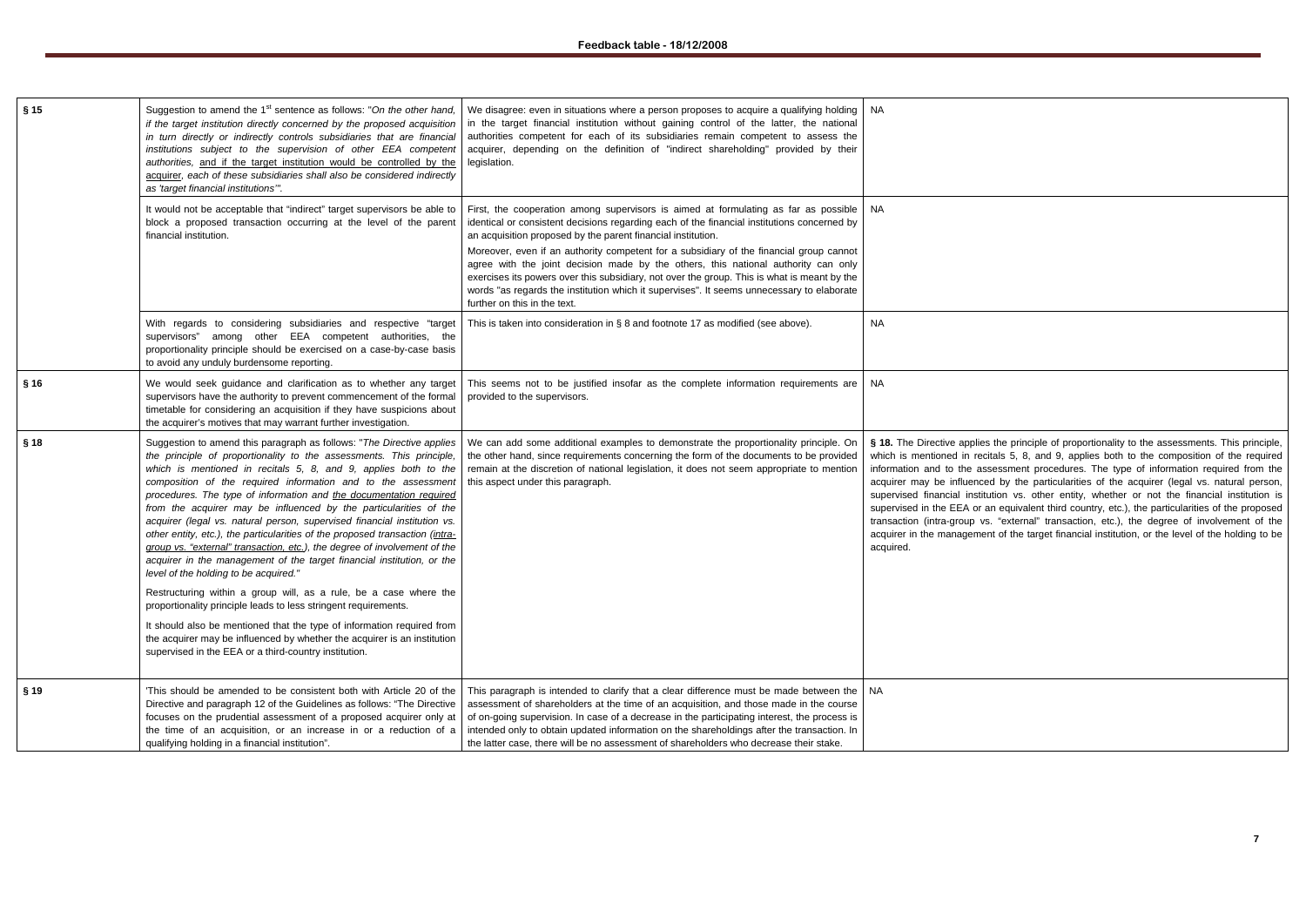| § 15   | Suggestion to amend the 1 <sup>st</sup> sentence as follows: "On the other hand,<br>if the target institution directly concerned by the proposed acquisition<br>in turn directly or indirectly controls subsidiaries that are financial<br>institutions subject to the supervision of other EEA competent<br>authorities, and if the target institution would be controlled by the<br>acquirer, each of these subsidiaries shall also be considered indirectly<br>as 'target financial institutions".                                                                                                                                                                                                                                                                                    | We disagree: even in situations where a person proposes to acquire a qualifying holding<br>in the target financial institution without gaining control of the latter, the national<br>authorities competent for each of its subsidiaries remain competent to assess the<br>acquirer, depending on the definition of "indirect shareholding" provided by their<br>legislation.                                                                                                                                                                                                                                                                                   | NA                                                                                                                                                                                                                                                          |
|--------|------------------------------------------------------------------------------------------------------------------------------------------------------------------------------------------------------------------------------------------------------------------------------------------------------------------------------------------------------------------------------------------------------------------------------------------------------------------------------------------------------------------------------------------------------------------------------------------------------------------------------------------------------------------------------------------------------------------------------------------------------------------------------------------|-----------------------------------------------------------------------------------------------------------------------------------------------------------------------------------------------------------------------------------------------------------------------------------------------------------------------------------------------------------------------------------------------------------------------------------------------------------------------------------------------------------------------------------------------------------------------------------------------------------------------------------------------------------------|-------------------------------------------------------------------------------------------------------------------------------------------------------------------------------------------------------------------------------------------------------------|
|        | It would not be acceptable that "indirect" target supervisors be able to<br>block a proposed transaction occurring at the level of the parent<br>financial institution.                                                                                                                                                                                                                                                                                                                                                                                                                                                                                                                                                                                                                  | First, the cooperation among supervisors is aimed at formulating as far as possible<br>identical or consistent decisions regarding each of the financial institutions concerned by<br>an acquisition proposed by the parent financial institution.<br>Moreover, even if an authority competent for a subsidiary of the financial group cannot<br>agree with the joint decision made by the others, this national authority can only<br>exercises its powers over this subsidiary, not over the group. This is what is meant by the<br>words "as regards the institution which it supervises". It seems unnecessary to elaborate<br>further on this in the text. | NA.                                                                                                                                                                                                                                                         |
|        | With regards to considering subsidiaries and respective "target<br>supervisors" among other EEA competent authorities, the<br>proportionality principle should be exercised on a case-by-case basis<br>to avoid any unduly burdensome reporting.                                                                                                                                                                                                                                                                                                                                                                                                                                                                                                                                         | This is taken into consideration in $\S$ 8 and footnote 17 as modified (see above).                                                                                                                                                                                                                                                                                                                                                                                                                                                                                                                                                                             | <b>NA</b>                                                                                                                                                                                                                                                   |
| § 16   | We would seek guidance and clarification as to whether any target<br>supervisors have the authority to prevent commencement of the formal<br>timetable for considering an acquisition if they have suspicions about<br>the acquirer's motives that may warrant further investigation.                                                                                                                                                                                                                                                                                                                                                                                                                                                                                                    | This seems not to be justified insofar as the complete information requirements are<br>provided to the supervisors.                                                                                                                                                                                                                                                                                                                                                                                                                                                                                                                                             | NA.                                                                                                                                                                                                                                                         |
| § 18   | Suggestion to amend this paragraph as follows: "The Directive applies<br>the principle of proportionality to the assessments. This principle,<br>which is mentioned in recitals 5, 8, and 9, applies both to the<br>composition of the required information and to the assessment<br>procedures. The type of information and the documentation required<br>from the acquirer may be influenced by the particularities of the<br>acquirer (legal vs. natural person, supervised financial institution vs.<br>other entity, etc.), the particularities of the proposed transaction (intra-<br>group vs. "external" transaction, etc.), the degree of involvement of the<br>acquirer in the management of the target financial institution, or the<br>level of the holding to be acquired." | We can add some additional examples to demonstrate the proportionality principle. On<br>the other hand, since requirements concerning the form of the documents to be provided<br>remain at the discretion of national legislation, it does not seem appropriate to mention<br>this aspect under this paragraph.                                                                                                                                                                                                                                                                                                                                                | § 18. The Directive applies<br>which is mentioned in reci<br>information and to the ass<br>acquirer may be influence<br>supervised financial institu<br>supervised in the EEA or a<br>transaction (intra-group vs<br>acquirer in the managemer<br>acquired. |
|        | Restructuring within a group will, as a rule, be a case where the<br>proportionality principle leads to less stringent requirements.<br>It should also be mentioned that the type of information required from<br>the acquirer may be influenced by whether the acquirer is an institution<br>supervised in the EEA or a third-country institution.                                                                                                                                                                                                                                                                                                                                                                                                                                      |                                                                                                                                                                                                                                                                                                                                                                                                                                                                                                                                                                                                                                                                 |                                                                                                                                                                                                                                                             |
| $§$ 19 | 'This should be amended to be consistent both with Article 20 of the<br>Directive and paragraph 12 of the Guidelines as follows: "The Directive<br>focuses on the prudential assessment of a proposed acquirer only at<br>the time of an acquisition, or an increase in or a reduction of a<br>qualifying holding in a financial institution".                                                                                                                                                                                                                                                                                                                                                                                                                                           | This paragraph is intended to clarify that a clear difference must be made between the<br>assessment of shareholders at the time of an acquisition, and those made in the course<br>of on-going supervision. In case of a decrease in the participating interest, the process is<br>intended only to obtain updated information on the shareholdings after the transaction. In<br>the latter case, there will be no assessment of shareholders who decrease their stake.                                                                                                                                                                                        | NA.                                                                                                                                                                                                                                                         |

**s** the principle of proportionality to the assessments. This principle, citals 5, 8, and 9, applies both to the composition of the required isessment procedures. The type of information required from the ed by the particularities of the acquirer (legal vs. natural person, ution vs. other entity, whether or not the financial institution is an equivalent third country, etc.), the particularities of the proposed s. "external" transaction, etc.), the degree of involvement of the ant of the target financial institution, or the level of the holding to be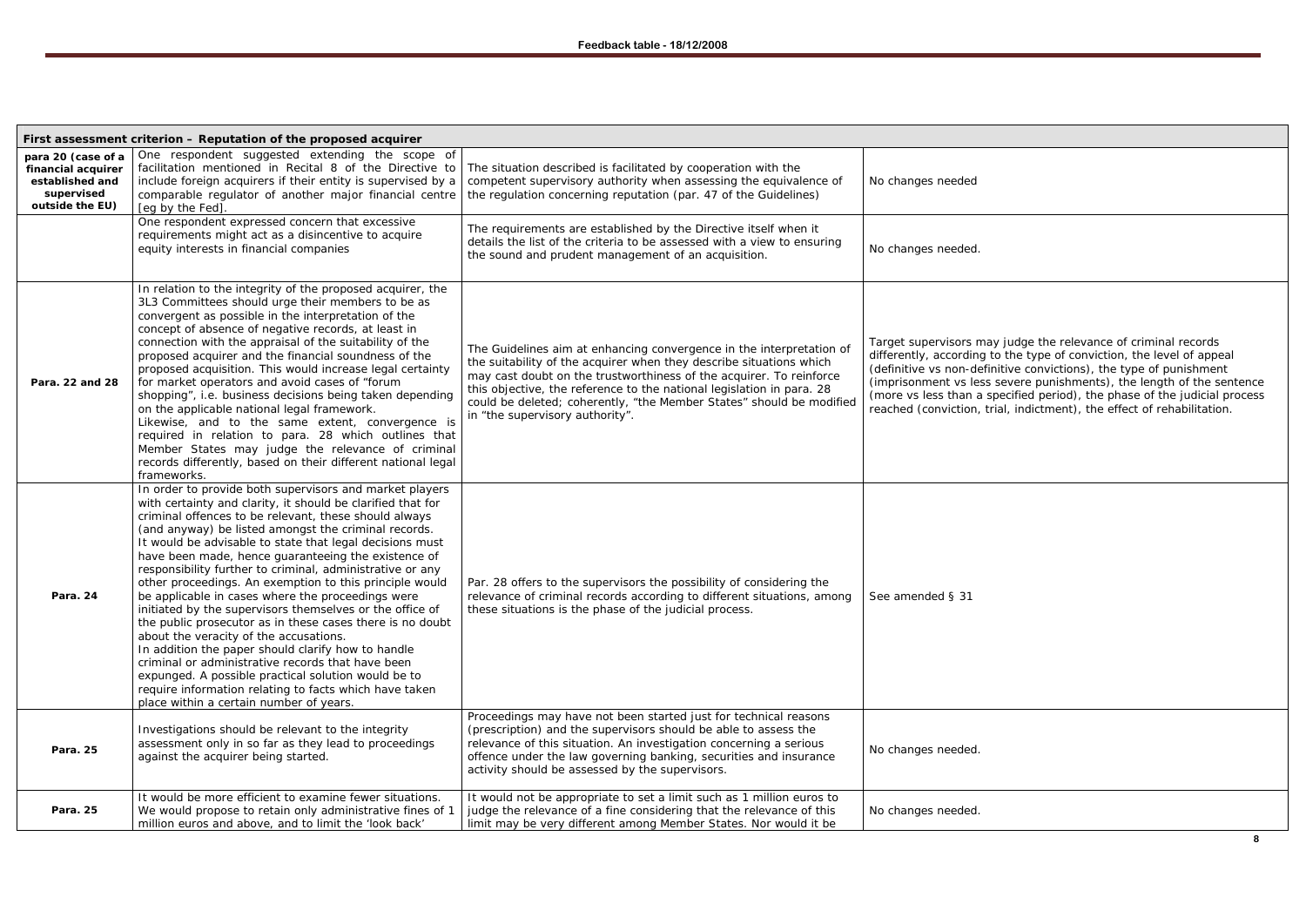nay judge the relevance of criminal records differently, according to the type of conviction, the level of appeal (definitive vs non-definitive convictions), the type of punishment (imprisonment vs less severe punishments), the length of the sentence (more vs less than a specified period), the phase of the judicial process reached (conviction, trial, indictment), the effect of rehabilitation.

|                                                                                              | First assessment criterion - Reputation of the proposed acquirer                                                                                                                                                                                                                                                                                                                                                                                                                                                                                                                                                                                                                                                                                                                                                                                                                                                                                                                  |                                                                                                                                                                                                                                                                                                                                                                                                        |                                                                                                                                                  |
|----------------------------------------------------------------------------------------------|-----------------------------------------------------------------------------------------------------------------------------------------------------------------------------------------------------------------------------------------------------------------------------------------------------------------------------------------------------------------------------------------------------------------------------------------------------------------------------------------------------------------------------------------------------------------------------------------------------------------------------------------------------------------------------------------------------------------------------------------------------------------------------------------------------------------------------------------------------------------------------------------------------------------------------------------------------------------------------------|--------------------------------------------------------------------------------------------------------------------------------------------------------------------------------------------------------------------------------------------------------------------------------------------------------------------------------------------------------------------------------------------------------|--------------------------------------------------------------------------------------------------------------------------------------------------|
| para 20 (case of a<br>financial acquirer<br>established and<br>supervised<br>outside the EU) | One respondent suggested extending the scope of<br>facilitation mentioned in Recital 8 of the Directive to<br>include foreign acquirers if their entity is supervised by a<br>comparable regulator of another major financial centre<br>[eg by the Fed]                                                                                                                                                                                                                                                                                                                                                                                                                                                                                                                                                                                                                                                                                                                           | The situation described is facilitated by cooperation with the<br>competent supervisory authority when assessing the equivalence of<br>the regulation concerning reputation (par. 47 of the Guidelines)                                                                                                                                                                                                | No changes needed                                                                                                                                |
|                                                                                              | One respondent expressed concern that excessive<br>requirements might act as a disincentive to acquire<br>equity interests in financial companies                                                                                                                                                                                                                                                                                                                                                                                                                                                                                                                                                                                                                                                                                                                                                                                                                                 | The requirements are established by the Directive itself when it<br>details the list of the criteria to be assessed with a view to ensuring<br>the sound and prudent management of an acquisition.                                                                                                                                                                                                     | No changes needed.                                                                                                                               |
| Para. 22 and 28                                                                              | In relation to the integrity of the proposed acquirer, the<br>3L3 Committees should urge their members to be as<br>convergent as possible in the interpretation of the<br>concept of absence of negative records, at least in<br>connection with the appraisal of the suitability of the<br>proposed acquirer and the financial soundness of the<br>proposed acquisition. This would increase legal certainty<br>for market operators and avoid cases of "forum<br>shopping", i.e. business decisions being taken depending<br>on the applicable national legal framework.<br>Likewise, and to the same extent, convergence is<br>required in relation to para. 28 which outlines that<br>Member States may judge the relevance of criminal<br>records differently, based on their different national legal<br>frameworks.                                                                                                                                                        | The Guidelines aim at enhancing convergence in the interpretation of<br>the suitability of the acquirer when they describe situations which<br>may cast doubt on the trustworthiness of the acquirer. To reinforce<br>this objective, the reference to the national legislation in para. 28<br>could be deleted; coherently, "the Member States" should be modified<br>in "the supervisory authority". | Target supervisors m<br>differently, according<br>(definitive vs non-def<br>(imprisonment vs les<br>(more vs less than a<br>reached (conviction, |
| Para. 24                                                                                     | In order to provide both supervisors and market players<br>with certainty and clarity, it should be clarified that for<br>criminal offences to be relevant, these should always<br>(and anyway) be listed amongst the criminal records.<br>It would be advisable to state that legal decisions must<br>have been made, hence guaranteeing the existence of<br>responsibility further to criminal, administrative or any<br>other proceedings. An exemption to this principle would<br>be applicable in cases where the proceedings were<br>initiated by the supervisors themselves or the office of<br>the public prosecutor as in these cases there is no doubt<br>about the veracity of the accusations.<br>In addition the paper should clarify how to handle<br>criminal or administrative records that have been<br>expunged. A possible practical solution would be to<br>require information relating to facts which have taken<br>place within a certain number of years. | Par. 28 offers to the supervisors the possibility of considering the<br>relevance of criminal records according to different situations, among<br>these situations is the phase of the judicial process.                                                                                                                                                                                               | See amended § 31                                                                                                                                 |
| Para. 25                                                                                     | Investigations should be relevant to the integrity<br>assessment only in so far as they lead to proceedings<br>against the acquirer being started.                                                                                                                                                                                                                                                                                                                                                                                                                                                                                                                                                                                                                                                                                                                                                                                                                                | Proceedings may have not been started just for technical reasons<br>(prescription) and the supervisors should be able to assess the<br>relevance of this situation. An investigation concerning a serious<br>offence under the law governing banking, securities and insurance<br>activity should be assessed by the supervisors.                                                                      | No changes needed.                                                                                                                               |
| Para. 25                                                                                     | It would be more efficient to examine fewer situations.<br>We would propose to retain only administrative fines of 1<br>million euros and above, and to limit the 'look back'                                                                                                                                                                                                                                                                                                                                                                                                                                                                                                                                                                                                                                                                                                                                                                                                     | It would not be appropriate to set a limit such as 1 million euros to<br>judge the relevance of a fine considering that the relevance of this<br>limit may be very different among Member States. Nor would it be                                                                                                                                                                                      | No changes needed.                                                                                                                               |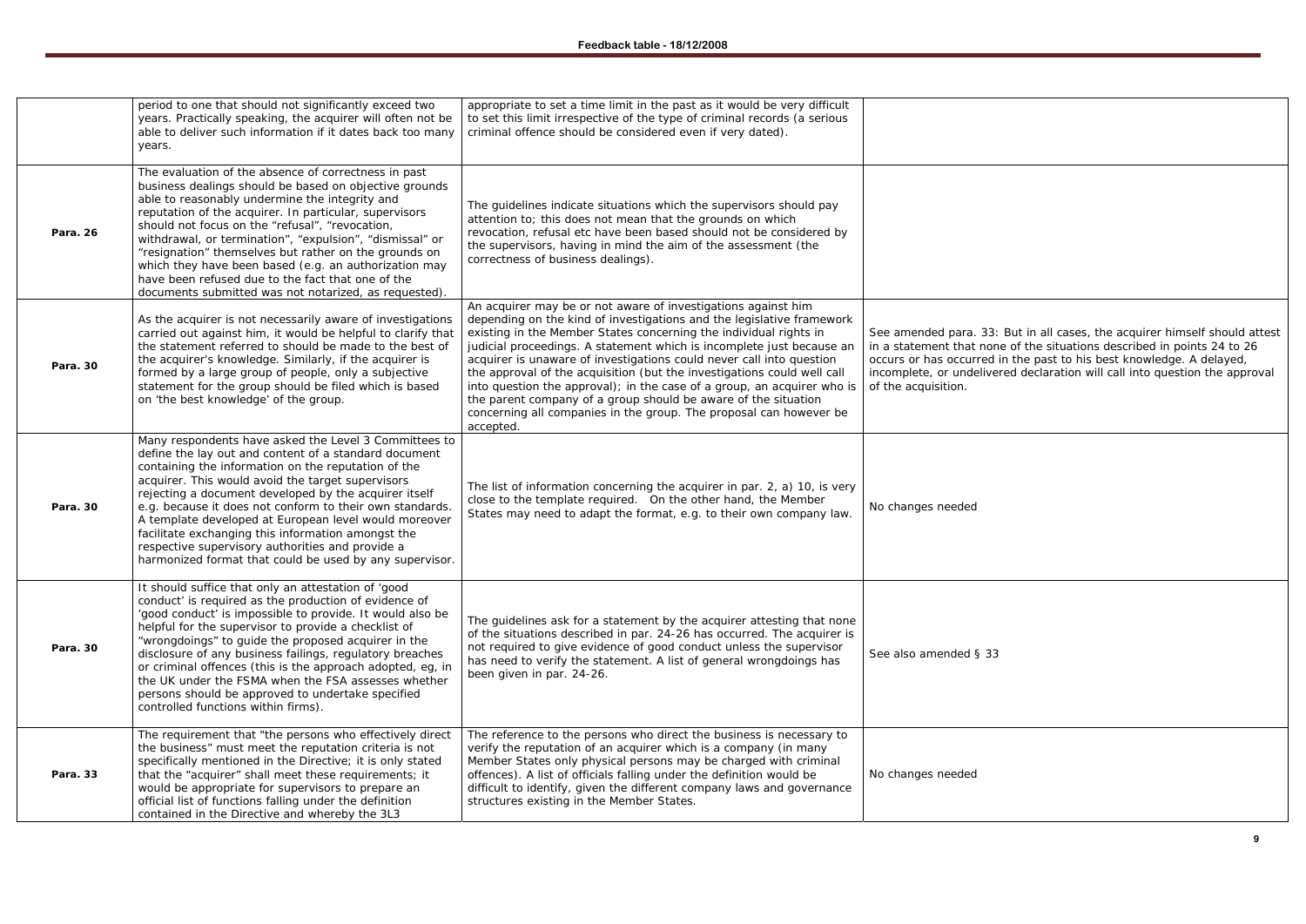See amended para. 33: But in all cases, the acquirer himself should attest in a statement that none of the situations described in points 24 to 26 occurs or has occurred in the past to his best knowledge. A delayed, incomplete, or undelivered declaration will call into question the approval

33

|          | period to one that should not significantly exceed two<br>years. Practically speaking, the acquirer will often not be<br>able to deliver such information if it dates back too many<br>years.                                                                                                                                                                                                                                                                                                                                                                                 | appropriate to set a time limit in the past as it would be very difficult<br>to set this limit irrespective of the type of criminal records (a serious<br>criminal offence should be considered even if very dated).                                                                                                                                                                                                                                                                                                                                                                                                                                                    |                                                                                                                         |
|----------|-------------------------------------------------------------------------------------------------------------------------------------------------------------------------------------------------------------------------------------------------------------------------------------------------------------------------------------------------------------------------------------------------------------------------------------------------------------------------------------------------------------------------------------------------------------------------------|-------------------------------------------------------------------------------------------------------------------------------------------------------------------------------------------------------------------------------------------------------------------------------------------------------------------------------------------------------------------------------------------------------------------------------------------------------------------------------------------------------------------------------------------------------------------------------------------------------------------------------------------------------------------------|-------------------------------------------------------------------------------------------------------------------------|
| Para. 26 | The evaluation of the absence of correctness in past<br>business dealings should be based on objective grounds<br>able to reasonably undermine the integrity and<br>reputation of the acquirer. In particular, supervisors<br>should not focus on the "refusal", "revocation,<br>withdrawal, or termination", "expulsion", "dismissal" or<br>"resignation" themselves but rather on the grounds on<br>which they have been based (e.g. an authorization may<br>have been refused due to the fact that one of the<br>documents submitted was not notarized, as requested).     | The guidelines indicate situations which the supervisors should pay<br>attention to; this does not mean that the grounds on which<br>revocation, refusal etc have been based should not be considered by<br>the supervisors, having in mind the aim of the assessment (the<br>correctness of business dealings).                                                                                                                                                                                                                                                                                                                                                        |                                                                                                                         |
| Para. 30 | As the acquirer is not necessarily aware of investigations<br>carried out against him, it would be helpful to clarify that<br>the statement referred to should be made to the best of<br>the acquirer's knowledge. Similarly, if the acquirer is<br>formed by a large group of people, only a subjective<br>statement for the group should be filed which is based<br>on 'the best knowledge' of the group.                                                                                                                                                                   | An acquirer may be or not aware of investigations against him<br>depending on the kind of investigations and the legislative framework<br>existing in the Member States concerning the individual rights in<br>judicial proceedings. A statement which is incomplete just because an<br>acquirer is unaware of investigations could never call into question<br>the approval of the acquisition (but the investigations could well call<br>into question the approval); in the case of a group, an acquirer who is<br>the parent company of a group should be aware of the situation<br>concerning all companies in the group. The proposal can however be<br>accepted. | See amended para. 3<br>in a statement that no<br>occurs or has occurre<br>incomplete, or undeliv<br>of the acquisition. |
| Para. 30 | Many respondents have asked the Level 3 Committees to<br>define the lay out and content of a standard document<br>containing the information on the reputation of the<br>acquirer. This would avoid the target supervisors<br>rejecting a document developed by the acquirer itself<br>e.g. because it does not conform to their own standards.<br>A template developed at European level would moreover<br>facilitate exchanging this information amongst the<br>respective supervisory authorities and provide a<br>harmonized format that could be used by any supervisor. | The list of information concerning the acquirer in par. 2, a) 10, is very<br>close to the template required. On the other hand, the Member<br>States may need to adapt the format, e.g. to their own company law.                                                                                                                                                                                                                                                                                                                                                                                                                                                       | No changes needed                                                                                                       |
| Para. 30 | It should suffice that only an attestation of 'good<br>conduct' is required as the production of evidence of<br>'good conduct' is impossible to provide. It would also be<br>helpful for the supervisor to provide a checklist of<br>"wrongdoings" to guide the proposed acquirer in the<br>disclosure of any business failings, regulatory breaches<br>or criminal offences (this is the approach adopted, eg, in<br>the UK under the FSMA when the FSA assesses whether<br>persons should be approved to undertake specified<br>controlled functions within firms).         | The guidelines ask for a statement by the acquirer attesting that none<br>of the situations described in par. 24-26 has occurred. The acquirer is<br>not required to give evidence of good conduct unless the supervisor<br>has need to verify the statement. A list of general wrongdoings has<br>been given in par. 24-26.                                                                                                                                                                                                                                                                                                                                            | See also amended § 3                                                                                                    |
| Para. 33 | The requirement that "the persons who effectively direct<br>the business" must meet the reputation criteria is not<br>specifically mentioned in the Directive; it is only stated<br>that the "acquirer" shall meet these requirements; it<br>would be appropriate for supervisors to prepare an<br>official list of functions falling under the definition<br>contained in the Directive and whereby the 3L3                                                                                                                                                                  | The reference to the persons who direct the business is necessary to<br>verify the reputation of an acquirer which is a company (in many<br>Member States only physical persons may be charged with criminal<br>offences). A list of officials falling under the definition would be<br>difficult to identify, given the different company laws and governance<br>structures existing in the Member States.                                                                                                                                                                                                                                                             | No changes needed                                                                                                       |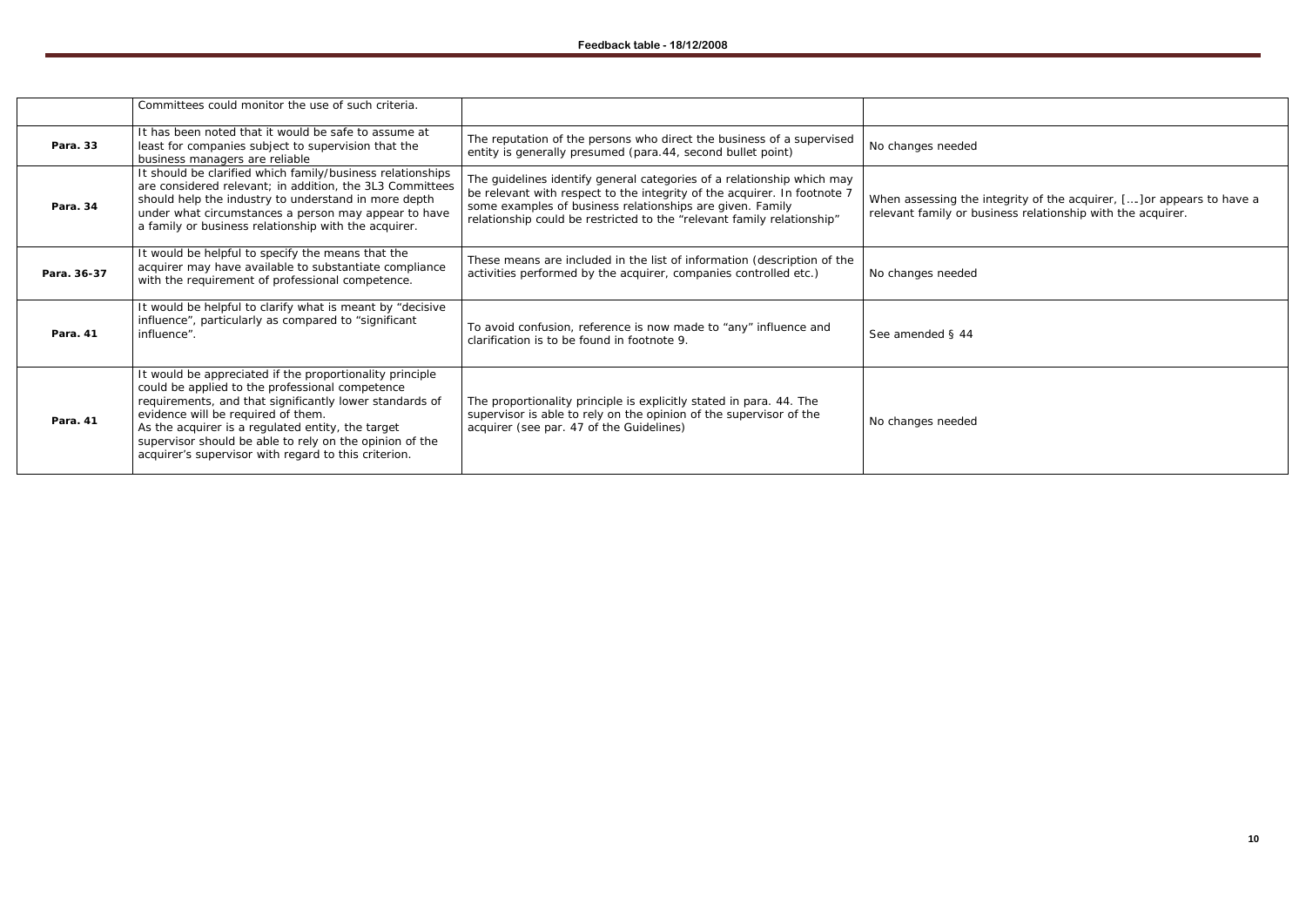# When assessing the integrity of the acquirer, [….]or appears to have a relevant family or business relationship with the acquirer.

|             | Committees could monitor the use of such criteria.                                                                                                                                                                                                                                                                                                                                   |                                                                                                                                                                                                                                                                                           |                                                 |
|-------------|--------------------------------------------------------------------------------------------------------------------------------------------------------------------------------------------------------------------------------------------------------------------------------------------------------------------------------------------------------------------------------------|-------------------------------------------------------------------------------------------------------------------------------------------------------------------------------------------------------------------------------------------------------------------------------------------|-------------------------------------------------|
| Para. 33    | It has been noted that it would be safe to assume at<br>least for companies subject to supervision that the<br>business managers are reliable                                                                                                                                                                                                                                        | The reputation of the persons who direct the business of a supervised<br>entity is generally presumed (para.44, second bullet point)                                                                                                                                                      | No changes needed                               |
| Para. 34    | It should be clarified which family/business relationships<br>are considered relevant; in addition, the 3L3 Committees<br>should help the industry to understand in more depth<br>under what circumstances a person may appear to have<br>a family or business relationship with the acquirer.                                                                                       | The guidelines identify general categories of a relationship which may<br>be relevant with respect to the integrity of the acquirer. In footnote 7<br>some examples of business relationships are given. Family<br>relationship could be restricted to the "relevant family relationship" | When assessing the in<br>relevant family or bus |
| Para. 36-37 | It would be helpful to specify the means that the<br>acquirer may have available to substantiate compliance<br>with the requirement of professional competence.                                                                                                                                                                                                                      | These means are included in the list of information (description of the<br>activities performed by the acquirer, companies controlled etc.)                                                                                                                                               | No changes needed                               |
| Para. 41    | It would be helpful to clarify what is meant by "decisive<br>influence", particularly as compared to "significant<br>influence".                                                                                                                                                                                                                                                     | To avoid confusion, reference is now made to "any" influence and<br>clarification is to be found in footnote 9.                                                                                                                                                                           | See amended § 44                                |
| Para. 41    | It would be appreciated if the proportionality principle<br>could be applied to the professional competence<br>requirements, and that significantly lower standards of<br>evidence will be required of them.<br>As the acquirer is a regulated entity, the target<br>supervisor should be able to rely on the opinion of the<br>acquirer's supervisor with regard to this criterion. | The proportionality principle is explicitly stated in para. 44. The<br>supervisor is able to rely on the opinion of the supervisor of the<br>acquirer (see par. 47 of the Guidelines)                                                                                                     | No changes needed                               |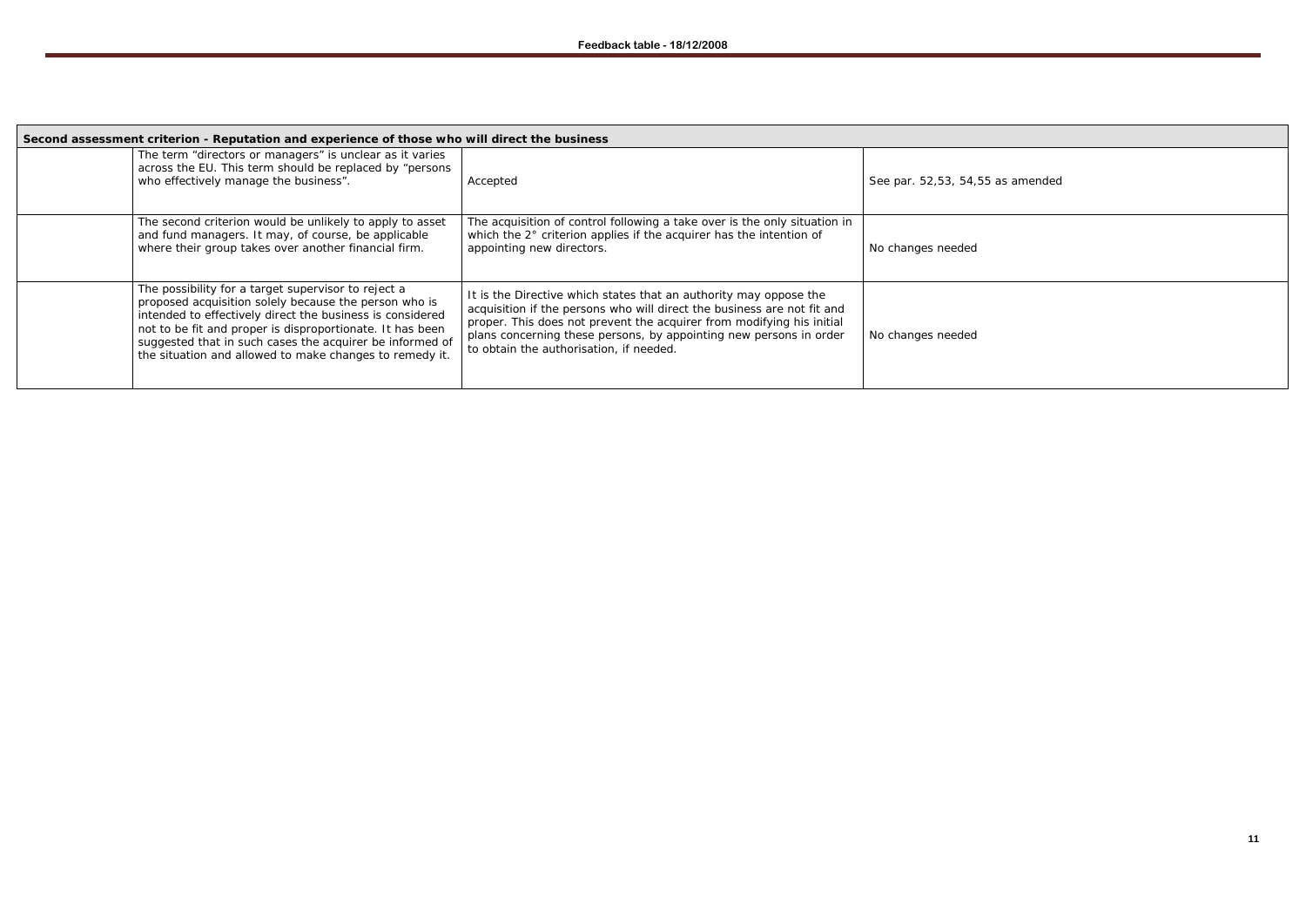| Second assessment criterion - Reputation and experience of those who will direct the business                                                                                                                                                                                                                                                                 |                                                                                                                                                                                                                                                                                                                                        |                                  |  |  |
|---------------------------------------------------------------------------------------------------------------------------------------------------------------------------------------------------------------------------------------------------------------------------------------------------------------------------------------------------------------|----------------------------------------------------------------------------------------------------------------------------------------------------------------------------------------------------------------------------------------------------------------------------------------------------------------------------------------|----------------------------------|--|--|
| The term "directors or managers" is unclear as it varies<br>across the EU. This term should be replaced by "persons<br>who effectively manage the business".                                                                                                                                                                                                  | Accepted                                                                                                                                                                                                                                                                                                                               | See par. 52,53, 54,55 as amended |  |  |
| The second criterion would be unlikely to apply to asset<br>and fund managers. It may, of course, be applicable<br>where their group takes over another financial firm.                                                                                                                                                                                       | The acquisition of control following a take over is the only situation in<br>which the 2° criterion applies if the acquirer has the intention of<br>appointing new directors.                                                                                                                                                          | No changes needed                |  |  |
| The possibility for a target supervisor to reject a<br>proposed acquisition solely because the person who is<br>intended to effectively direct the business is considered<br>not to be fit and proper is disproportionate. It has been<br>suggested that in such cases the acquirer be informed of<br>the situation and allowed to make changes to remedy it. | It is the Directive which states that an authority may oppose the<br>acquisition if the persons who will direct the business are not fit and<br>proper. This does not prevent the acquirer from modifying his initial<br>plans concerning these persons, by appointing new persons in order<br>to obtain the authorisation, if needed. | No changes needed                |  |  |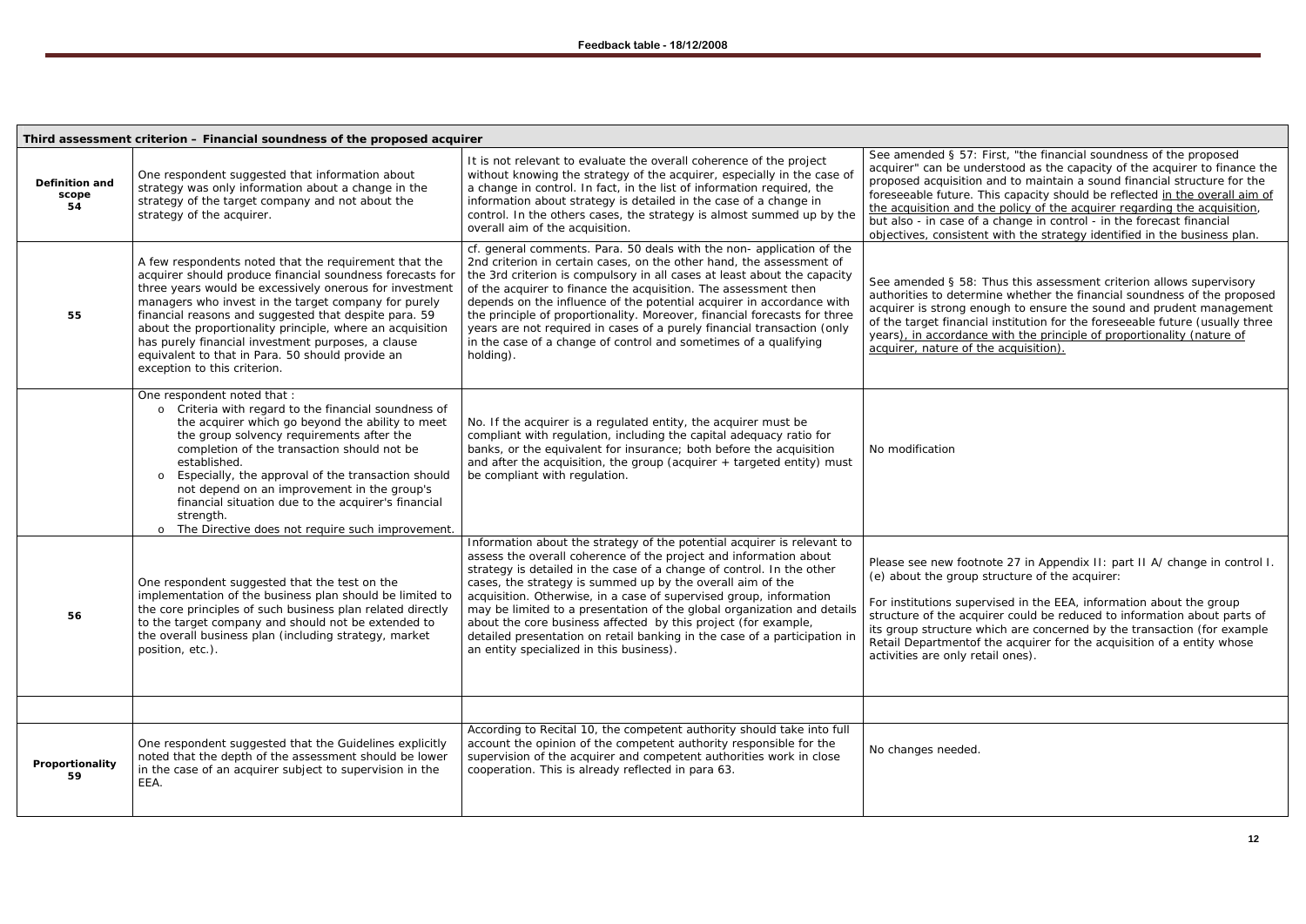*For institutions supervised in the EEA, information about the group structure of the acquirer could be reduced to information about parts of*  hich are concerned by the transaction (for example *Retail Departmentof the acquirer for the acquisition of a entity whose ail ones).* 

|                               | Third assessment criterion - Financial soundness of the proposed acquirer                                                                                                                                                                                                                                                                                                                                                                                                                             |                                                                                                                                                                                                                                                                                                                                                                                                                                                                                                                                                                                                                                 |                                                                                                                                                                                   |
|-------------------------------|-------------------------------------------------------------------------------------------------------------------------------------------------------------------------------------------------------------------------------------------------------------------------------------------------------------------------------------------------------------------------------------------------------------------------------------------------------------------------------------------------------|---------------------------------------------------------------------------------------------------------------------------------------------------------------------------------------------------------------------------------------------------------------------------------------------------------------------------------------------------------------------------------------------------------------------------------------------------------------------------------------------------------------------------------------------------------------------------------------------------------------------------------|-----------------------------------------------------------------------------------------------------------------------------------------------------------------------------------|
| Definition and<br>scope<br>54 | One respondent suggested that information about<br>strategy was only information about a change in the<br>strategy of the target company and not about the<br>strategy of the acquirer.                                                                                                                                                                                                                                                                                                               | It is not relevant to evaluate the overall coherence of the project<br>without knowing the strategy of the acquirer, especially in the case of<br>a change in control. In fact, in the list of information required, the<br>information about strategy is detailed in the case of a change in<br>control. In the others cases, the strategy is almost summed up by the<br>overall aim of the acquisition.                                                                                                                                                                                                                       | See amended § 57: F<br>acquirer" can be unde<br>proposed acquisition a<br>foreseeable future. Th<br>the acquisition and th<br>but also - in case of a<br>objectives, consistent   |
| 55                            | A few respondents noted that the requirement that the<br>acquirer should produce financial soundness forecasts for<br>three years would be excessively onerous for investment<br>managers who invest in the target company for purely<br>financial reasons and suggested that despite para. 59<br>about the proportionality principle, where an acquisition<br>has purely financial investment purposes, a clause<br>equivalent to that in Para. 50 should provide an<br>exception to this criterion. | cf. general comments. Para. 50 deals with the non- application of the<br>2nd criterion in certain cases, on the other hand, the assessment of<br>the 3rd criterion is compulsory in all cases at least about the capacity<br>of the acquirer to finance the acquisition. The assessment then<br>depends on the influence of the potential acquirer in accordance with<br>the principle of proportionality. Moreover, financial forecasts for three<br>years are not required in cases of a purely financial transaction (only<br>in the case of a change of control and sometimes of a qualifying<br>holding).                  | See amended § 58: 7<br>authorities to determ<br>acquirer is strong end<br>of the target financial<br>years), in accordance<br>acquirer, nature of th                              |
|                               | One respondent noted that :<br>Criteria with regard to the financial soundness of<br>$\circ$<br>the acquirer which go beyond the ability to meet<br>the group solvency requirements after the<br>completion of the transaction should not be<br>established.<br>Especially, the approval of the transaction should<br>$\circ$<br>not depend on an improvement in the group's<br>financial situation due to the acquirer's financial<br>strength.<br>The Directive does not require such improvement.  | No. If the acquirer is a regulated entity, the acquirer must be<br>compliant with regulation, including the capital adequacy ratio for<br>banks, or the equivalent for insurance; both before the acquisition<br>and after the acquisition, the group (acquirer $+$ targeted entity) must<br>be compliant with regulation.                                                                                                                                                                                                                                                                                                      | No modification                                                                                                                                                                   |
| 56                            | One respondent suggested that the test on the<br>implementation of the business plan should be limited to<br>the core principles of such business plan related directly<br>to the target company and should not be extended to<br>the overall business plan (including strategy, market<br>position, etc.).                                                                                                                                                                                           | Information about the strategy of the potential acquirer is relevant to<br>assess the overall coherence of the project and information about<br>strategy is detailed in the case of a change of control. In the other<br>cases, the strategy is summed up by the overall aim of the<br>acquisition. Otherwise, in a case of supervised group, information<br>may be limited to a presentation of the global organization and details<br>about the core business affected by this project (for example,<br>detailed presentation on retail banking in the case of a participation in<br>an entity specialized in this business). | Please see new footno<br>(e) about the group s<br>For institutions super<br>structure of the acqui<br>its group structure wh<br>Retail Departmentof t<br>activities are only reta |
|                               |                                                                                                                                                                                                                                                                                                                                                                                                                                                                                                       |                                                                                                                                                                                                                                                                                                                                                                                                                                                                                                                                                                                                                                 |                                                                                                                                                                                   |
| Proportionality<br>59         | One respondent suggested that the Guidelines explicitly<br>noted that the depth of the assessment should be lower<br>in the case of an acquirer subject to supervision in the<br>EEA.                                                                                                                                                                                                                                                                                                                 | According to Recital 10, the competent authority should take into full<br>account the opinion of the competent authority responsible for the<br>supervision of the acquirer and competent authorities work in close<br>cooperation. This is already reflected in para 63.                                                                                                                                                                                                                                                                                                                                                       | No changes needed.                                                                                                                                                                |

First, "the financial soundness of the proposed erstood as the capacity of the acquirer to finance the and to maintain a sound financial structure for the his capacity should be reflected in the overall aim of the acquisition and the policy of the acquirer regarding the acquisition, but also - in case of a change in control - in the forecast financial with the strategy identified in the business plan.

> **Thus this assessment criterion allows supervisory** ine whether the financial soundness of the proposed *acquirer is strong enough to ensure the sound and prudent management of the target financial institution for the foreseeable future (usually three <u>Parth the principle of proportionality (nature of</u> <u>acquisition).</u>*

ote 27 in Appendix II: part II A/ change in control I. structure of the acquirer: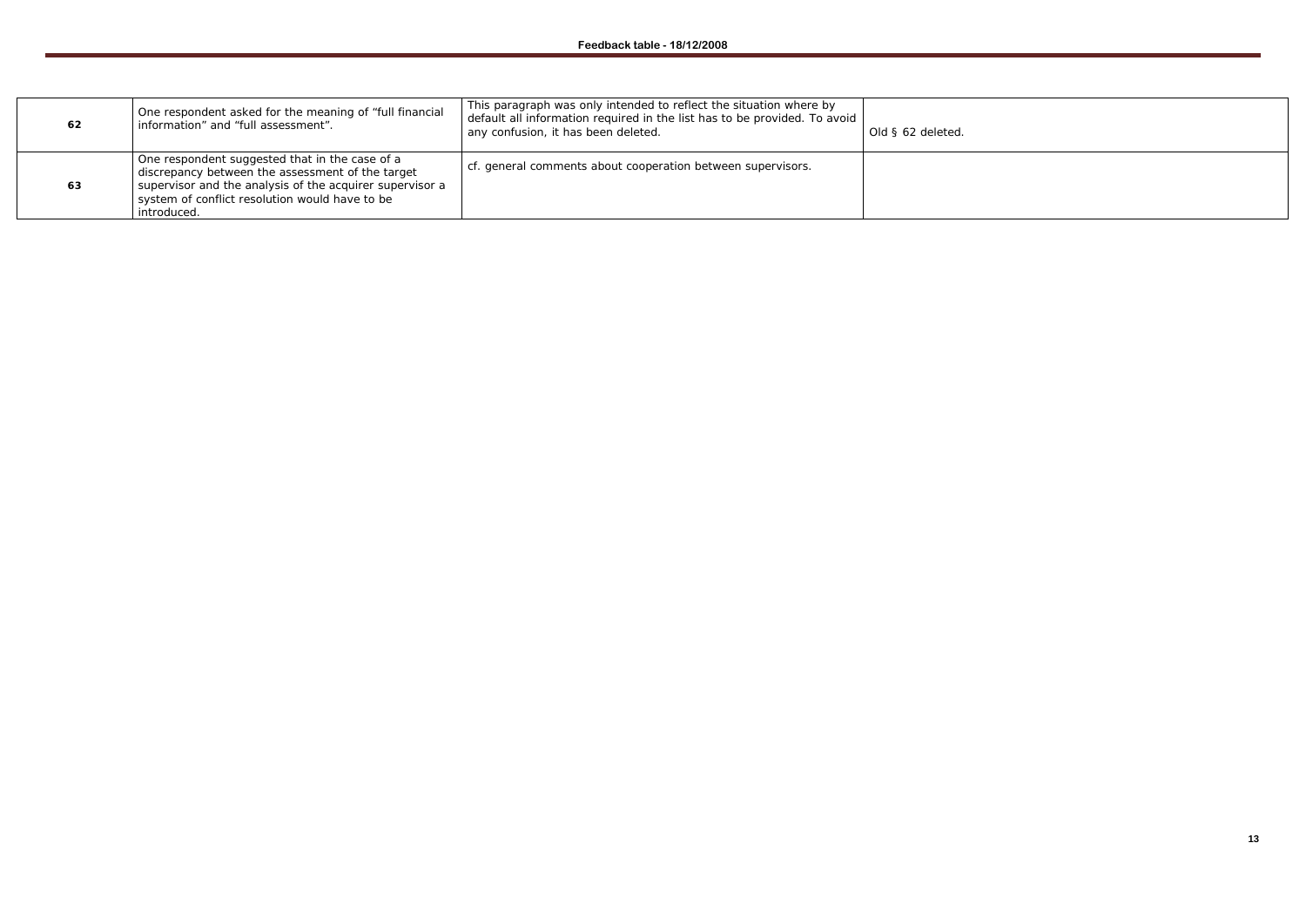| 62 | One respondent asked for the meaning of "full financial<br>information" and "full assessment".                                                                                                                                  | This paragraph was only intended to reflect the situation where by<br>default all information required in the list has to be provided. To avoid<br>any confusion, it has been deleted. | Old § 62 deleted. |
|----|---------------------------------------------------------------------------------------------------------------------------------------------------------------------------------------------------------------------------------|----------------------------------------------------------------------------------------------------------------------------------------------------------------------------------------|-------------------|
| 63 | One respondent suggested that in the case of a<br>discrepancy between the assessment of the target<br>supervisor and the analysis of the acquirer supervisor a<br>system of conflict resolution would have to be<br>introduced. | cf. general comments about cooperation between supervisors.                                                                                                                            |                   |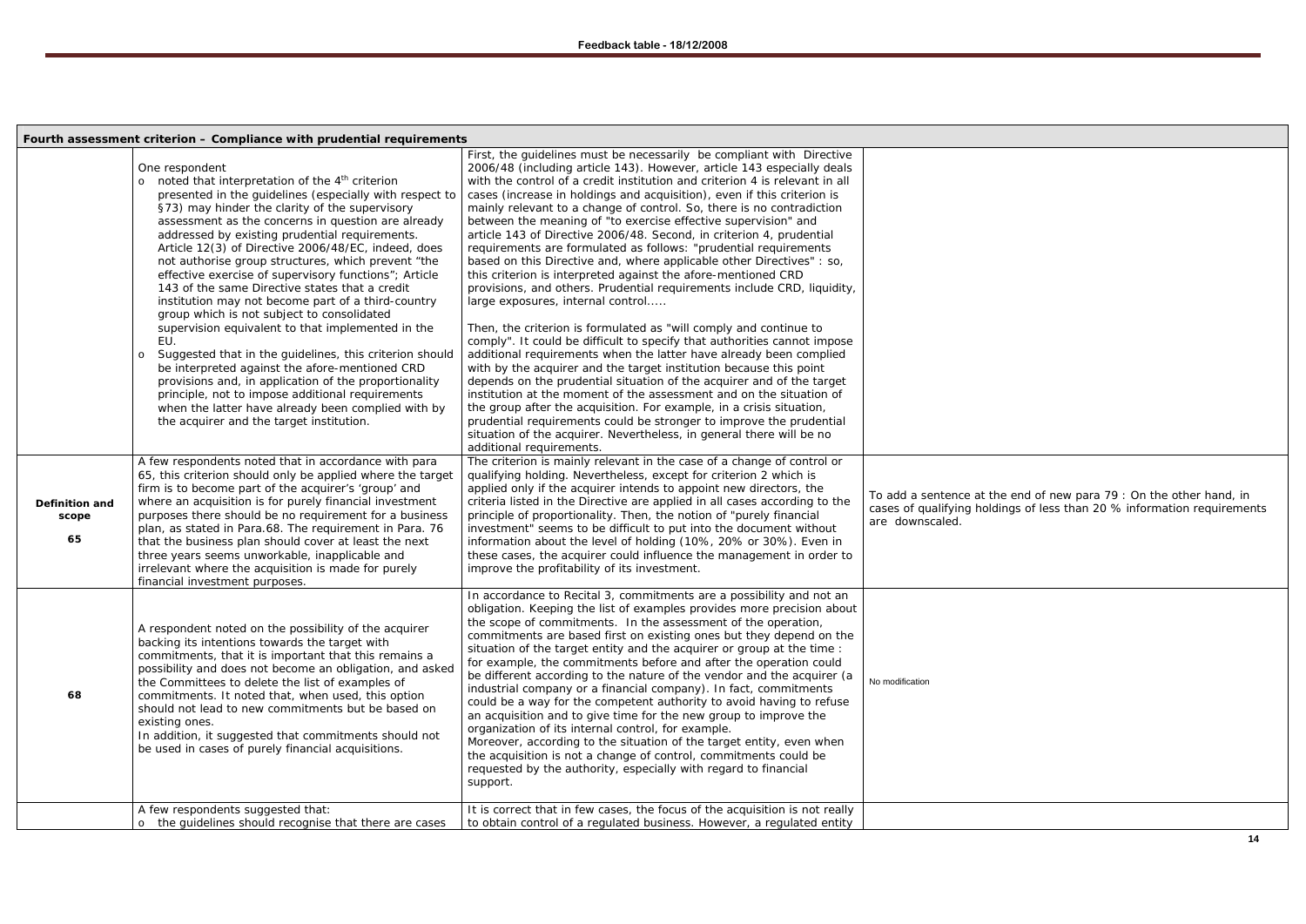|                                      | Fourth assessment criterion - Compliance with prudential requirements                                                                                                                                                                                                                                                                                                                                                                                                                                                                                                                                                                                                                                                                                                                                                                                                                                                                                                                                                                                                                                                                                                                                                                                                                                                                                                                                                                                                                                                                                                                                         |                                                                                                                                                                                                                                                                                                                                                                                                                                                                                                                                                                                                                                                                                                                                                                                                                                                                                                                                                                                                                                                                                                                                                                                                                                                                                                                                                                                                                                                                                                                                                                                                                                                                                                                                                                                                                                                                                                                                                                                                                                                                                                                                                                                                         |                                                                   |
|--------------------------------------|---------------------------------------------------------------------------------------------------------------------------------------------------------------------------------------------------------------------------------------------------------------------------------------------------------------------------------------------------------------------------------------------------------------------------------------------------------------------------------------------------------------------------------------------------------------------------------------------------------------------------------------------------------------------------------------------------------------------------------------------------------------------------------------------------------------------------------------------------------------------------------------------------------------------------------------------------------------------------------------------------------------------------------------------------------------------------------------------------------------------------------------------------------------------------------------------------------------------------------------------------------------------------------------------------------------------------------------------------------------------------------------------------------------------------------------------------------------------------------------------------------------------------------------------------------------------------------------------------------------|---------------------------------------------------------------------------------------------------------------------------------------------------------------------------------------------------------------------------------------------------------------------------------------------------------------------------------------------------------------------------------------------------------------------------------------------------------------------------------------------------------------------------------------------------------------------------------------------------------------------------------------------------------------------------------------------------------------------------------------------------------------------------------------------------------------------------------------------------------------------------------------------------------------------------------------------------------------------------------------------------------------------------------------------------------------------------------------------------------------------------------------------------------------------------------------------------------------------------------------------------------------------------------------------------------------------------------------------------------------------------------------------------------------------------------------------------------------------------------------------------------------------------------------------------------------------------------------------------------------------------------------------------------------------------------------------------------------------------------------------------------------------------------------------------------------------------------------------------------------------------------------------------------------------------------------------------------------------------------------------------------------------------------------------------------------------------------------------------------------------------------------------------------------------------------------------------------|-------------------------------------------------------------------|
| <b>Definition and</b><br>scope<br>65 | One respondent<br>noted that interpretation of the 4 <sup>th</sup> criterion<br>$\circ$<br>presented in the guidelines (especially with respect to<br>§73) may hinder the clarity of the supervisory<br>assessment as the concerns in question are already<br>addressed by existing prudential requirements.<br>Article 12(3) of Directive 2006/48/EC, indeed, does<br>not authorise group structures, which prevent "the<br>effective exercise of supervisory functions"; Article<br>143 of the same Directive states that a credit<br>institution may not become part of a third-country<br>group which is not subject to consolidated<br>supervision equivalent to that implemented in the<br>EU.<br>Suggested that in the guidelines, this criterion should<br>$\circ$<br>be interpreted against the afore-mentioned CRD<br>provisions and, in application of the proportionality<br>principle, not to impose additional requirements<br>when the latter have already been complied with by<br>the acquirer and the target institution.<br>A few respondents noted that in accordance with para<br>65, this criterion should only be applied where the target<br>firm is to become part of the acquirer's 'group' and<br>where an acquisition is for purely financial investment<br>purposes there should be no requirement for a business<br>plan, as stated in Para.68. The requirement in Para. 76<br>that the business plan should cover at least the next<br>three years seems unworkable, inapplicable and<br>irrelevant where the acquisition is made for purely<br>financial investment purposes. | First, the guidelines must be necessarily be compliant with Directive<br>2006/48 (including article 143). However, article 143 especially deals<br>with the control of a credit institution and criterion 4 is relevant in all<br>cases (increase in holdings and acquisition), even if this criterion is<br>mainly relevant to a change of control. So, there is no contradiction<br>between the meaning of "to exercise effective supervision" and<br>article 143 of Directive 2006/48. Second, in criterion 4, prudential<br>requirements are formulated as follows: "prudential requirements<br>based on this Directive and, where applicable other Directives" : so,<br>this criterion is interpreted against the afore-mentioned CRD<br>provisions, and others. Prudential requirements include CRD, liquidity,<br>large exposures, internal control<br>Then, the criterion is formulated as "will comply and continue to<br>comply". It could be difficult to specify that authorities cannot impose<br>additional requirements when the latter have already been complied<br>with by the acquirer and the target institution because this point<br>depends on the prudential situation of the acquirer and of the target<br>institution at the moment of the assessment and on the situation of<br>the group after the acquisition. For example, in a crisis situation,<br>prudential requirements could be stronger to improve the prudential<br>situation of the acquirer. Nevertheless, in general there will be no<br>additional requirements.<br>The criterion is mainly relevant in the case of a change of control or<br>qualifying holding. Nevertheless, except for criterion 2 which is<br>applied only if the acquirer intends to appoint new directors, the<br>criteria listed in the Directive are applied in all cases according to the<br>principle of proportionality. Then, the notion of "purely financial<br>investment" seems to be difficult to put into the document without<br>information about the level of holding (10%, 20% or 30%). Even in<br>these cases, the acquirer could influence the management in order to<br>improve the profitability of its investment. | To add a sentence at<br>cases of qualifying he<br>are downscaled. |
| 68                                   | A respondent noted on the possibility of the acquirer<br>backing its intentions towards the target with<br>commitments, that it is important that this remains a<br>possibility and does not become an obligation, and asked<br>the Committees to delete the list of examples of<br>commitments. It noted that, when used, this option<br>should not lead to new commitments but be based on<br>existing ones.<br>In addition, it suggested that commitments should not<br>be used in cases of purely financial acquisitions.                                                                                                                                                                                                                                                                                                                                                                                                                                                                                                                                                                                                                                                                                                                                                                                                                                                                                                                                                                                                                                                                                 | In accordance to Recital 3, commitments are a possibility and not an<br>obligation. Keeping the list of examples provides more precision about<br>the scope of commitments. In the assessment of the operation,<br>commitments are based first on existing ones but they depend on the<br>situation of the target entity and the acquirer or group at the time :<br>for example, the commitments before and after the operation could<br>be different according to the nature of the vendor and the acquirer (a<br>industrial company or a financial company). In fact, commitments<br>could be a way for the competent authority to avoid having to refuse<br>an acquisition and to give time for the new group to improve the<br>organization of its internal control, for example.<br>Moreover, according to the situation of the target entity, even when<br>the acquisition is not a change of control, commitments could be<br>requested by the authority, especially with regard to financial<br>support.                                                                                                                                                                                                                                                                                                                                                                                                                                                                                                                                                                                                                                                                                                                                                                                                                                                                                                                                                                                                                                                                                                                                                                                        | No modification                                                   |
|                                      | A few respondents suggested that:<br>the quidelines should recognise that there are cases                                                                                                                                                                                                                                                                                                                                                                                                                                                                                                                                                                                                                                                                                                                                                                                                                                                                                                                                                                                                                                                                                                                                                                                                                                                                                                                                                                                                                                                                                                                     | It is correct that in few cases, the focus of the acquisition is not really<br>to obtain control of a regulated business. However, a regulated entity                                                                                                                                                                                                                                                                                                                                                                                                                                                                                                                                                                                                                                                                                                                                                                                                                                                                                                                                                                                                                                                                                                                                                                                                                                                                                                                                                                                                                                                                                                                                                                                                                                                                                                                                                                                                                                                                                                                                                                                                                                                   |                                                                   |
|                                      |                                                                                                                                                                                                                                                                                                                                                                                                                                                                                                                                                                                                                                                                                                                                                                                                                                                                                                                                                                                                                                                                                                                                                                                                                                                                                                                                                                                                                                                                                                                                                                                                               |                                                                                                                                                                                                                                                                                                                                                                                                                                                                                                                                                                                                                                                                                                                                                                                                                                                                                                                                                                                                                                                                                                                                                                                                                                                                                                                                                                                                                                                                                                                                                                                                                                                                                                                                                                                                                                                                                                                                                                                                                                                                                                                                                                                                         |                                                                   |

To add a sentence at the end of new para 79 : *On the other hand, in cases of qualifying holdings of less than 20 % information requirements*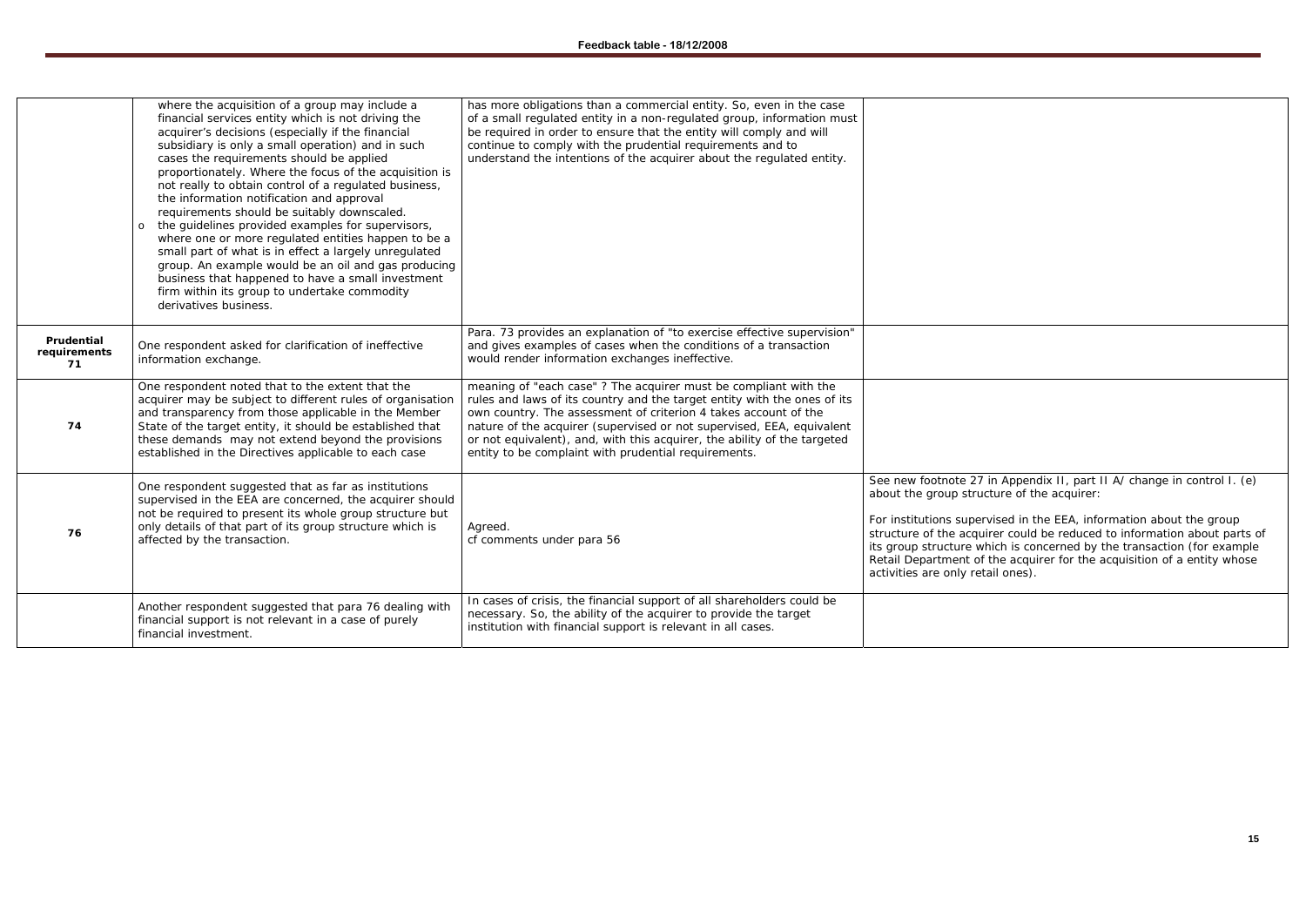|                                  | where the acquisition of a group may include a<br>financial services entity which is not driving the<br>acquirer's decisions (especially if the financial<br>subsidiary is only a small operation) and in such<br>cases the requirements should be applied<br>proportionately. Where the focus of the acquisition is<br>not really to obtain control of a regulated business,<br>the information notification and approval<br>requirements should be suitably downscaled.<br>the guidelines provided examples for supervisors,<br>$\circ$<br>where one or more regulated entities happen to be a<br>small part of what is in effect a largely unregulated<br>group. An example would be an oil and gas producing<br>business that happened to have a small investment<br>firm within its group to undertake commodity<br>derivatives business. | has more obligations than a commercial entity. So, even in the case<br>of a small regulated entity in a non-regulated group, information must<br>be required in order to ensure that the entity will comply and will<br>continue to comply with the prudential requirements and to<br>understand the intentions of the acquirer about the regulated entity.                                                                  |                                                                                                                                                                           |
|----------------------------------|------------------------------------------------------------------------------------------------------------------------------------------------------------------------------------------------------------------------------------------------------------------------------------------------------------------------------------------------------------------------------------------------------------------------------------------------------------------------------------------------------------------------------------------------------------------------------------------------------------------------------------------------------------------------------------------------------------------------------------------------------------------------------------------------------------------------------------------------|------------------------------------------------------------------------------------------------------------------------------------------------------------------------------------------------------------------------------------------------------------------------------------------------------------------------------------------------------------------------------------------------------------------------------|---------------------------------------------------------------------------------------------------------------------------------------------------------------------------|
| Prudential<br>requirements<br>71 | One respondent asked for clarification of ineffective<br>information exchange.                                                                                                                                                                                                                                                                                                                                                                                                                                                                                                                                                                                                                                                                                                                                                                 | Para. 73 provides an explanation of "to exercise effective supervision"<br>and gives examples of cases when the conditions of a transaction<br>would render information exchanges ineffective.                                                                                                                                                                                                                               |                                                                                                                                                                           |
| 74                               | One respondent noted that to the extent that the<br>acquirer may be subject to different rules of organisation<br>and transparency from those applicable in the Member<br>State of the target entity, it should be established that<br>these demands may not extend beyond the provisions<br>established in the Directives applicable to each case                                                                                                                                                                                                                                                                                                                                                                                                                                                                                             | meaning of "each case" ? The acquirer must be compliant with the<br>rules and laws of its country and the target entity with the ones of its<br>own country. The assessment of criterion 4 takes account of the<br>nature of the acquirer (supervised or not supervised, EEA, equivalent<br>or not equivalent), and, with this acquirer, the ability of the targeted<br>entity to be complaint with prudential requirements. |                                                                                                                                                                           |
| 76                               | One respondent suggested that as far as institutions<br>supervised in the EEA are concerned, the acquirer should<br>not be required to present its whole group structure but<br>only details of that part of its group structure which is<br>affected by the transaction.                                                                                                                                                                                                                                                                                                                                                                                                                                                                                                                                                                      | Agreed.<br>cf comments under para 56                                                                                                                                                                                                                                                                                                                                                                                         | See new footnote 27<br>about the group stru<br>For institutions super<br>structure of the acqu<br>its group structure w<br>Retail Department of<br>activities are only re |
|                                  | Another respondent suggested that para 76 dealing with<br>financial support is not relevant in a case of purely<br>financial investment.                                                                                                                                                                                                                                                                                                                                                                                                                                                                                                                                                                                                                                                                                                       | In cases of crisis, the financial support of all shareholders could be<br>necessary. So, the ability of the acquirer to provide the target<br>institution with financial support is relevant in all cases.                                                                                                                                                                                                                   |                                                                                                                                                                           |

See new footnote 27 in Appendix II, part II A/ change in control I. (e) about the group structure of the acquirer:

*For institutions supervised in the EEA, information about the group structure of the acquirer could be reduced to information about parts of its group structure which is concerned by the transaction (for example Retail Department of the acquirer for the acquisition of a entity whose activities are only retail ones).*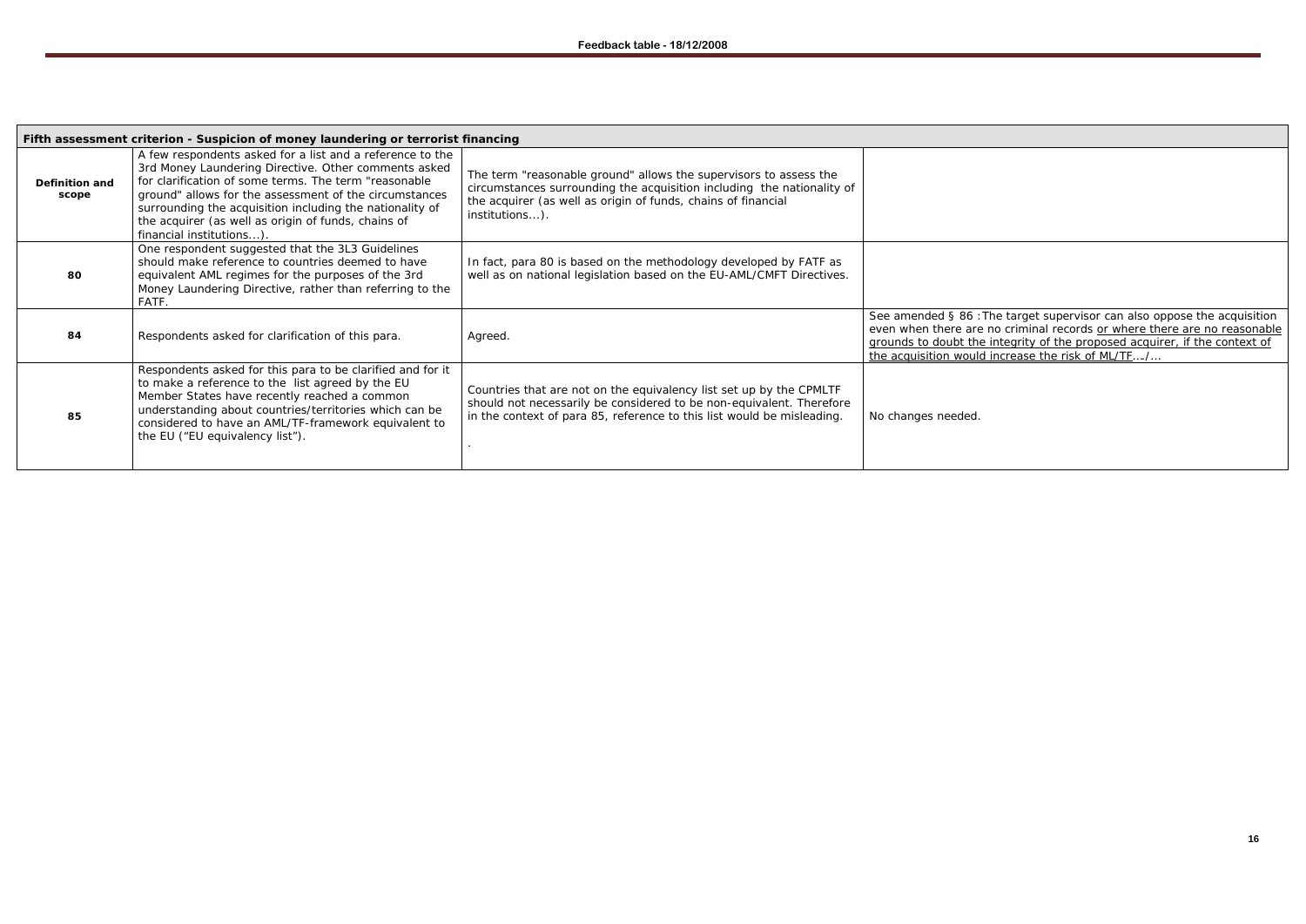| Fifth assessment criterion - Suspicion of money laundering or terrorist financing |                                                                                                                                                                                                                                                                                                                                                                                     |                                                                                                                                                                                                                                |                                                                                              |  |
|-----------------------------------------------------------------------------------|-------------------------------------------------------------------------------------------------------------------------------------------------------------------------------------------------------------------------------------------------------------------------------------------------------------------------------------------------------------------------------------|--------------------------------------------------------------------------------------------------------------------------------------------------------------------------------------------------------------------------------|----------------------------------------------------------------------------------------------|--|
| Definition and<br>scope                                                           | A few respondents asked for a list and a reference to the<br>3rd Money Laundering Directive. Other comments asked<br>for clarification of some terms. The term "reasonable<br>ground" allows for the assessment of the circumstances<br>surrounding the acquisition including the nationality of<br>the acquirer (as well as origin of funds, chains of<br>financial institutions). | The term "reasonable ground" allows the supervisors to assess the<br>circumstances surrounding the acquisition including the nationality of<br>the acquirer (as well as origin of funds, chains of financial<br>institutions). |                                                                                              |  |
| 80                                                                                | One respondent suggested that the 3L3 Guidelines<br>should make reference to countries deemed to have<br>equivalent AML regimes for the purposes of the 3rd<br>Money Laundering Directive, rather than referring to the<br>FATF.                                                                                                                                                    | In fact, para 80 is based on the methodology developed by FATF as<br>well as on national legislation based on the EU-AML/CMFT Directives.                                                                                      |                                                                                              |  |
| 84                                                                                | Respondents asked for clarification of this para.                                                                                                                                                                                                                                                                                                                                   | Agreed.                                                                                                                                                                                                                        | See amended § 86 : 7<br>even when there are<br>grounds to doubt the<br>the acquisition would |  |
| 85                                                                                | Respondents asked for this para to be clarified and for it<br>to make a reference to the list agreed by the EU<br>Member States have recently reached a common<br>understanding about countries/territories which can be<br>considered to have an AML/TF-framework equivalent to<br>the EU ("EU equivalency list").                                                                 | Countries that are not on the equivalency list set up by the CPMLTF<br>should not necessarily be considered to be non-equivalent. Therefore<br>in the context of para 85, reference to this list would be misleading.          | No changes needed.                                                                           |  |

See amended § 86 :*The target supervisor can also oppose the acquisition even when there are no criminal records or where there are no reasonable grounds to doubt the integrity of the proposed acquirer, if the context of the acquisition would increase the risk of ML/TF…./…*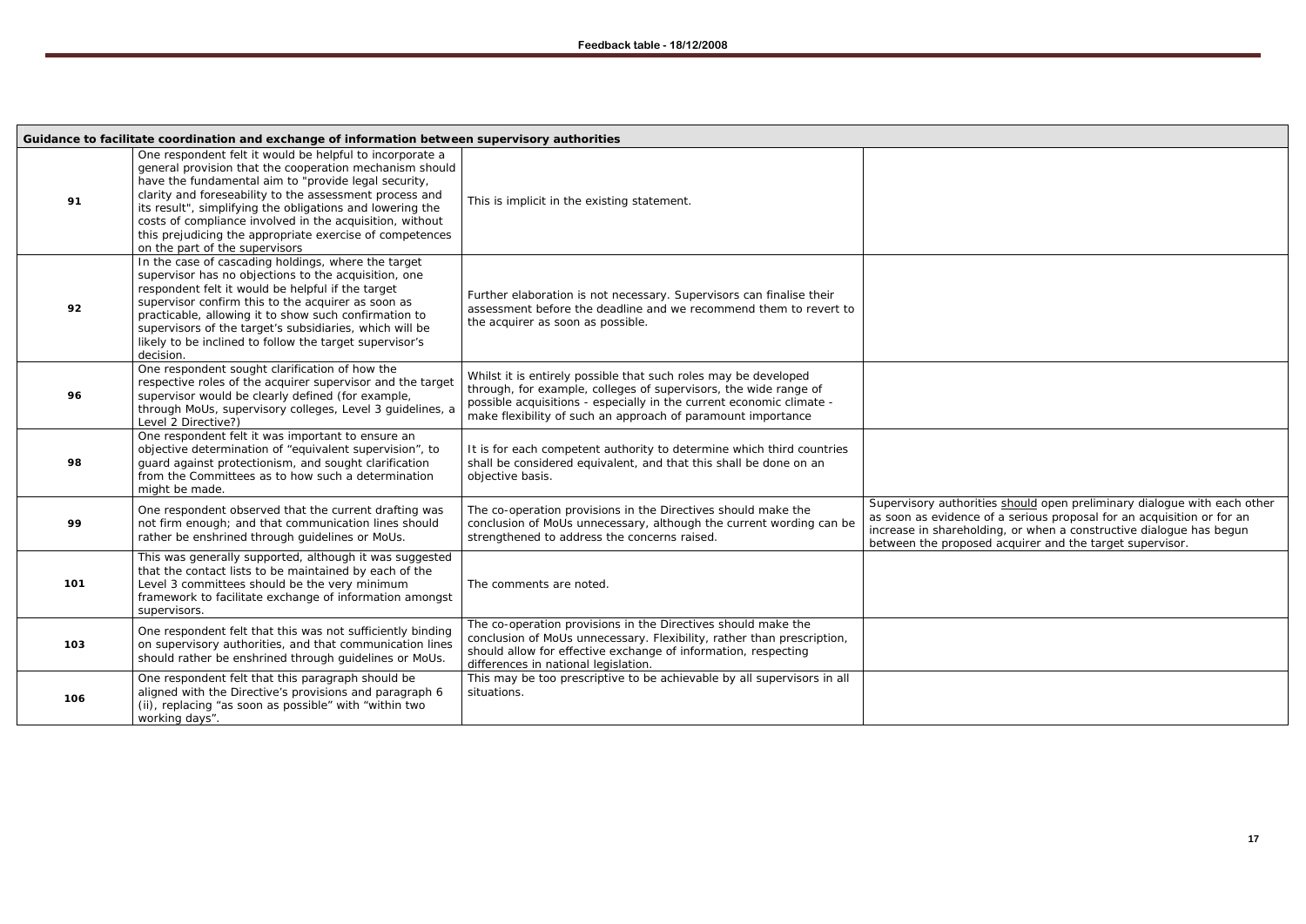Supervisory authorities <u>should</u> open preliminary dialogue with each other as soon as evidence of a serious proposal for an acquisition or for an increase in shareholding, or when a constructive dialogue has begun between the proposed acquirer and the target supervisor.

|     | Guidance to facilitate coordination and exchange of information between supervisory authorities                                                                                                                                                                                                                                                                                                                                                               |                                                                                                                                                                                                                                                                             |                                                                                                |
|-----|---------------------------------------------------------------------------------------------------------------------------------------------------------------------------------------------------------------------------------------------------------------------------------------------------------------------------------------------------------------------------------------------------------------------------------------------------------------|-----------------------------------------------------------------------------------------------------------------------------------------------------------------------------------------------------------------------------------------------------------------------------|------------------------------------------------------------------------------------------------|
| 91  | One respondent felt it would be helpful to incorporate a<br>general provision that the cooperation mechanism should<br>have the fundamental aim to "provide legal security,<br>clarity and foreseability to the assessment process and<br>its result", simplifying the obligations and lowering the<br>costs of compliance involved in the acquisition, without<br>this prejudicing the appropriate exercise of competences<br>on the part of the supervisors | This is implicit in the existing statement.                                                                                                                                                                                                                                 |                                                                                                |
| 92  | In the case of cascading holdings, where the target<br>supervisor has no objections to the acquisition, one<br>respondent felt it would be helpful if the target<br>supervisor confirm this to the acquirer as soon as<br>practicable, allowing it to show such confirmation to<br>supervisors of the target's subsidiaries, which will be<br>likely to be inclined to follow the target supervisor's<br>decision.                                            | Further elaboration is not necessary. Supervisors can finalise their<br>assessment before the deadline and we recommend them to revert to<br>the acquirer as soon as possible.                                                                                              |                                                                                                |
| 96  | One respondent sought clarification of how the<br>respective roles of the acquirer supervisor and the target<br>supervisor would be clearly defined (for example,<br>through MoUs, supervisory colleges, Level 3 guidelines, a<br>Level 2 Directive?)                                                                                                                                                                                                         | Whilst it is entirely possible that such roles may be developed<br>through, for example, colleges of supervisors, the wide range of<br>possible acquisitions - especially in the current economic climate -<br>make flexibility of such an approach of paramount importance |                                                                                                |
| 98  | One respondent felt it was important to ensure an<br>objective determination of "equivalent supervision", to<br>guard against protectionism, and sought clarification<br>from the Committees as to how such a determination<br>might be made.                                                                                                                                                                                                                 | It is for each competent authority to determine which third countries<br>shall be considered equivalent, and that this shall be done on an<br>objective basis.                                                                                                              |                                                                                                |
| 99  | One respondent observed that the current drafting was<br>not firm enough; and that communication lines should<br>rather be enshrined through guidelines or MoUs.                                                                                                                                                                                                                                                                                              | The co-operation provisions in the Directives should make the<br>conclusion of MoUs unnecessary, although the current wording can be<br>strengthened to address the concerns raised.                                                                                        | Supervisory authoriti<br>as soon as evidence o<br>increase in sharehold<br>between the propose |
| 101 | This was generally supported, although it was suggested<br>that the contact lists to be maintained by each of the<br>Level 3 committees should be the very minimum<br>framework to facilitate exchange of information amongst<br>supervisors.                                                                                                                                                                                                                 | The comments are noted.                                                                                                                                                                                                                                                     |                                                                                                |
| 103 | One respondent felt that this was not sufficiently binding<br>on supervisory authorities, and that communication lines<br>should rather be enshrined through guidelines or MoUs.                                                                                                                                                                                                                                                                              | The co-operation provisions in the Directives should make the<br>conclusion of MoUs unnecessary. Flexibility, rather than prescription,<br>should allow for effective exchange of information, respecting<br>differences in national legislation.                           |                                                                                                |
| 106 | One respondent felt that this paragraph should be<br>aligned with the Directive's provisions and paragraph 6<br>(ii), replacing "as soon as possible" with "within two<br>working days".                                                                                                                                                                                                                                                                      | This may be too prescriptive to be achievable by all supervisors in all<br>situations.                                                                                                                                                                                      |                                                                                                |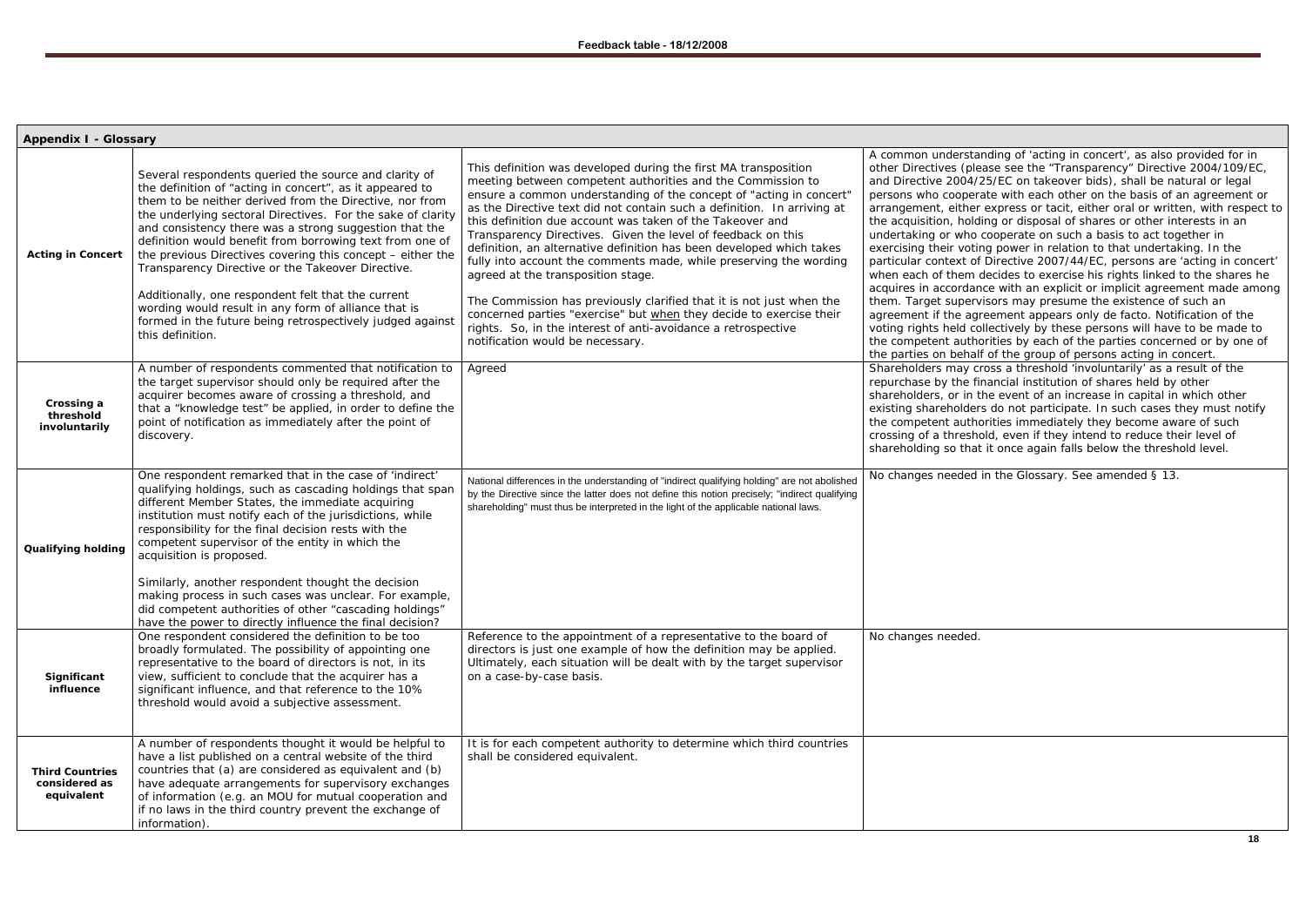| <b>Appendix I - Glossary</b>                          |                                                                                                                                                                                                                                                                                                                                                                                                                                                                                                                                                                                                                                                                                     |                                                                                                                                                                                                                                                                                                                                                                                                                                                                                                                                                                                                                                                                                                                                                                                                                                                       |                                                                                                                                                                                                                                                                                                                                                                                                            |
|-------------------------------------------------------|-------------------------------------------------------------------------------------------------------------------------------------------------------------------------------------------------------------------------------------------------------------------------------------------------------------------------------------------------------------------------------------------------------------------------------------------------------------------------------------------------------------------------------------------------------------------------------------------------------------------------------------------------------------------------------------|-------------------------------------------------------------------------------------------------------------------------------------------------------------------------------------------------------------------------------------------------------------------------------------------------------------------------------------------------------------------------------------------------------------------------------------------------------------------------------------------------------------------------------------------------------------------------------------------------------------------------------------------------------------------------------------------------------------------------------------------------------------------------------------------------------------------------------------------------------|------------------------------------------------------------------------------------------------------------------------------------------------------------------------------------------------------------------------------------------------------------------------------------------------------------------------------------------------------------------------------------------------------------|
| <b>Acting in Concert</b>                              | Several respondents queried the source and clarity of<br>the definition of "acting in concert", as it appeared to<br>them to be neither derived from the Directive, nor from<br>the underlying sectoral Directives. For the sake of clarity<br>and consistency there was a strong suggestion that the<br>definition would benefit from borrowing text from one of<br>the previous Directives covering this concept – either the<br>Transparency Directive or the Takeover Directive.<br>Additionally, one respondent felt that the current<br>wording would result in any form of alliance that is<br>formed in the future being retrospectively judged against<br>this definition. | This definition was developed during the first MA transposition<br>meeting between competent authorities and the Commission to<br>ensure a common understanding of the concept of "acting in concert"<br>as the Directive text did not contain such a definition. In arriving at<br>this definition due account was taken of the Takeover and<br>Transparency Directives. Given the level of feedback on this<br>definition, an alternative definition has been developed which takes<br>fully into account the comments made, while preserving the wording<br>agreed at the transposition stage.<br>The Commission has previously clarified that it is not just when the<br>concerned parties "exercise" but when they decide to exercise their<br>rights. So, in the interest of anti-avoidance a retrospective<br>notification would be necessary. | A common understan<br>other Directives (plea<br>and Directive 2004/2<br>persons who coopera<br>arrangement, either<br>the acquisition, holdir<br>undertaking or who c<br>exercising their voting<br>particular context of I<br>when each of them do<br>acquires in accordanc<br>them. Target supervis<br>agreement if the agre<br>voting rights held coll<br>the competent author<br>the parties on behalf |
| Crossing a<br>threshold<br>involuntarily              | A number of respondents commented that notification to<br>the target supervisor should only be required after the<br>acquirer becomes aware of crossing a threshold, and<br>that a "knowledge test" be applied, in order to define the<br>point of notification as immediately after the point of<br>discovery.                                                                                                                                                                                                                                                                                                                                                                     | Agreed                                                                                                                                                                                                                                                                                                                                                                                                                                                                                                                                                                                                                                                                                                                                                                                                                                                | Shareholders may cro<br>repurchase by the fin<br>shareholders, or in th<br>existing shareholders<br>the competent author<br>crossing of a threshol<br>shareholding so that                                                                                                                                                                                                                                 |
| <b>Qualifying holding</b>                             | One respondent remarked that in the case of 'indirect'<br>qualifying holdings, such as cascading holdings that span<br>different Member States, the immediate acquiring<br>institution must notify each of the jurisdictions, while<br>responsibility for the final decision rests with the<br>competent supervisor of the entity in which the<br>acquisition is proposed.<br>Similarly, another respondent thought the decision<br>making process in such cases was unclear. For example,<br>did competent authorities of other "cascading holdings"<br>have the power to directly influence the final decision?                                                                   | National differences in the understanding of "indirect qualifying holding" are not abolished<br>by the Directive since the latter does not define this notion precisely; "indirect qualifying<br>shareholding" must thus be interpreted in the light of the applicable national laws.                                                                                                                                                                                                                                                                                                                                                                                                                                                                                                                                                                 | No changes needed ir                                                                                                                                                                                                                                                                                                                                                                                       |
| Significant<br>influence                              | One respondent considered the definition to be too<br>broadly formulated. The possibility of appointing one<br>representative to the board of directors is not, in its<br>view, sufficient to conclude that the acquirer has a<br>significant influence, and that reference to the 10%<br>threshold would avoid a subjective assessment.                                                                                                                                                                                                                                                                                                                                            | Reference to the appointment of a representative to the board of<br>directors is just one example of how the definition may be applied.<br>Ultimately, each situation will be dealt with by the target supervisor<br>on a case-by-case basis.                                                                                                                                                                                                                                                                                                                                                                                                                                                                                                                                                                                                         | No changes needed.                                                                                                                                                                                                                                                                                                                                                                                         |
| <b>Third Countries</b><br>considered as<br>equivalent | A number of respondents thought it would be helpful to<br>have a list published on a central website of the third<br>countries that (a) are considered as equivalent and (b)<br>have adequate arrangements for supervisory exchanges<br>of information (e.g. an MOU for mutual cooperation and<br>if no laws in the third country prevent the exchange of<br>information).                                                                                                                                                                                                                                                                                                          | It is for each competent authority to determine which third countries<br>shall be considered equivalent.                                                                                                                                                                                                                                                                                                                                                                                                                                                                                                                                                                                                                                                                                                                                              |                                                                                                                                                                                                                                                                                                                                                                                                            |

A common unding of 'acting in concert', as also provided for in ase see the "Transparency" Directive 2004/109/EC, 15/EC on takeover bids), shall be natural or legal ate with each other on the basis of an agreement or express or tacit, either oral or written, with respect to ng or disposal of shares or other interests in an cooperate on such a basis to act together in g power in relation to that undertaking. In the Directive 2007/44/EC, persons are 'acting in concert' lecides to exercise his rights linked to the shares he ce with an explicit or implicit agreement made among sors may presume the existence of such an eement appears only de facto. Notification of the lectively by these persons will have to be made to rities by each of the parties concerned or by one of of the group of persons acting in concert. oss a threshold 'involuntarily' as a result of the repurchal institution of shares held by other ne event of an increase in capital in which other do not participate. In such cases they must notify rities immediately they become aware of such ld, even if they intend to reduce their level of it once again falls below the threshold level.

in the Glossary. See amended § 13.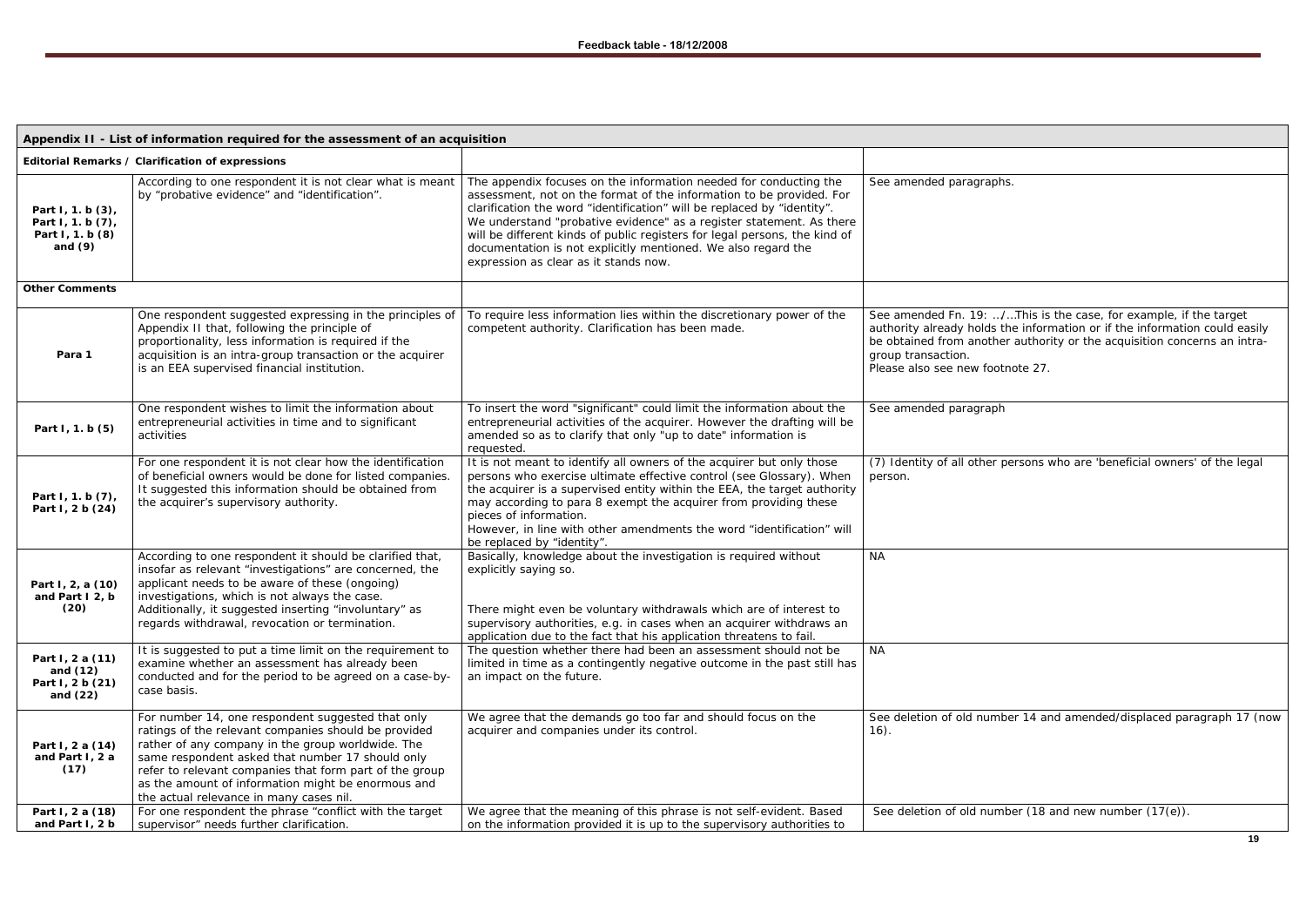## See amended Fn. 19: …/…This is the case, for example, if the target authority already holds the information or if the information could easily be obtained from another authority or the acquisition concerns an intra-

er persons who are 'beneficial owners' of the legal

umber 14 and amended/displaced paragraph 17 (now

number (18 and new number  $(17(e))$ .

|                                                                         | Appendix II - List of information required for the assessment of an acquisition                                                                                                                                                                                                                                                                                                |                                                                                                                                                                                                                                                                                                                                                                                                                                                                                      |                                                                                                                                                                  |
|-------------------------------------------------------------------------|--------------------------------------------------------------------------------------------------------------------------------------------------------------------------------------------------------------------------------------------------------------------------------------------------------------------------------------------------------------------------------|--------------------------------------------------------------------------------------------------------------------------------------------------------------------------------------------------------------------------------------------------------------------------------------------------------------------------------------------------------------------------------------------------------------------------------------------------------------------------------------|------------------------------------------------------------------------------------------------------------------------------------------------------------------|
|                                                                         | Editorial Remarks / Clarification of expressions                                                                                                                                                                                                                                                                                                                               |                                                                                                                                                                                                                                                                                                                                                                                                                                                                                      |                                                                                                                                                                  |
| Part I, 1. b (3),<br>Part I, 1. b (7),<br>Part I, 1. b (8)<br>and $(9)$ | According to one respondent it is not clear what is meant<br>by "probative evidence" and "identification".                                                                                                                                                                                                                                                                     | The appendix focuses on the information needed for conducting the<br>assessment, not on the format of the information to be provided. For<br>clarification the word "identification" will be replaced by "identity".<br>We understand "probative evidence" as a register statement. As there<br>will be different kinds of public registers for legal persons, the kind of<br>documentation is not explicitly mentioned. We also regard the<br>expression as clear as it stands now. | See amended paragraphs.                                                                                                                                          |
| <b>Other Comments</b>                                                   |                                                                                                                                                                                                                                                                                                                                                                                |                                                                                                                                                                                                                                                                                                                                                                                                                                                                                      |                                                                                                                                                                  |
| Para 1                                                                  | One respondent suggested expressing in the principles of<br>Appendix II that, following the principle of<br>proportionality, less information is required if the<br>acquisition is an intra-group transaction or the acquirer<br>is an EEA supervised financial institution.                                                                                                   | To require less information lies within the discretionary power of the<br>competent authority. Clarification has been made.                                                                                                                                                                                                                                                                                                                                                          | See amended Fn. 19: /This is<br>authority already holds the inforn<br>be obtained from another authori<br>group transaction.<br>Please also see new footnote 27. |
| Part I, 1. b (5)                                                        | One respondent wishes to limit the information about<br>entrepreneurial activities in time and to significant<br>activities                                                                                                                                                                                                                                                    | To insert the word "significant" could limit the information about the<br>entrepreneurial activities of the acquirer. However the drafting will be<br>amended so as to clarify that only "up to date" information is<br>requested.                                                                                                                                                                                                                                                   | See amended paragraph                                                                                                                                            |
| Part I, 1. b (7),<br>Part I, 2 b (24)                                   | For one respondent it is not clear how the identification<br>of beneficial owners would be done for listed companies.<br>It suggested this information should be obtained from<br>the acquirer's supervisory authority.                                                                                                                                                        | It is not meant to identify all owners of the acquirer but only those<br>persons who exercise ultimate effective control (see Glossary). When<br>the acquirer is a supervised entity within the EEA, the target authority<br>may according to para 8 exempt the acquirer from providing these<br>pieces of information.<br>However, in line with other amendments the word "identification" will<br>be replaced by "identity".                                                       | (7) Identity of all other persons w<br>person.                                                                                                                   |
| Part I, 2, a (10)<br>and Part I 2, b<br>(20)                            | According to one respondent it should be clarified that,<br>insofar as relevant "investigations" are concerned, the<br>applicant needs to be aware of these (ongoing)<br>investigations, which is not always the case.<br>Additionally, it suggested inserting "involuntary" as<br>regards withdrawal, revocation or termination.                                              | Basically, knowledge about the investigation is required without<br>explicitly saying so.<br>There might even be voluntary withdrawals which are of interest to<br>supervisory authorities, e.g. in cases when an acquirer withdraws an<br>application due to the fact that his application threatens to fail.                                                                                                                                                                       | <b>NA</b>                                                                                                                                                        |
| Part I, 2 a (11)<br>and $(12)$<br>Part I, 2 b (21)<br>and $(22)$        | It is suggested to put a time limit on the requirement to<br>examine whether an assessment has already been<br>conducted and for the period to be agreed on a case-by-<br>case basis.                                                                                                                                                                                          | The question whether there had been an assessment should not be<br>limited in time as a contingently negative outcome in the past still has<br>an impact on the future.                                                                                                                                                                                                                                                                                                              | <b>NA</b>                                                                                                                                                        |
| Part I, 2 a (14)<br>and Part I, 2 a<br>(17)                             | For number 14, one respondent suggested that only<br>ratings of the relevant companies should be provided<br>rather of any company in the group worldwide. The<br>same respondent asked that number 17 should only<br>refer to relevant companies that form part of the group<br>as the amount of information might be enormous and<br>the actual relevance in many cases nil. | We agree that the demands go too far and should focus on the<br>acquirer and companies under its control.                                                                                                                                                                                                                                                                                                                                                                            | See deletion of old number 14 an<br>$16)$ .                                                                                                                      |
| Part I, 2 a (18)<br>and Part I, 2 b                                     | For one respondent the phrase "conflict with the target<br>supervisor" needs further clarification.                                                                                                                                                                                                                                                                            | We agree that the meaning of this phrase is not self-evident. Based<br>on the information provided it is up to the supervisory authorities to                                                                                                                                                                                                                                                                                                                                        | See deletion of old number (18 a                                                                                                                                 |